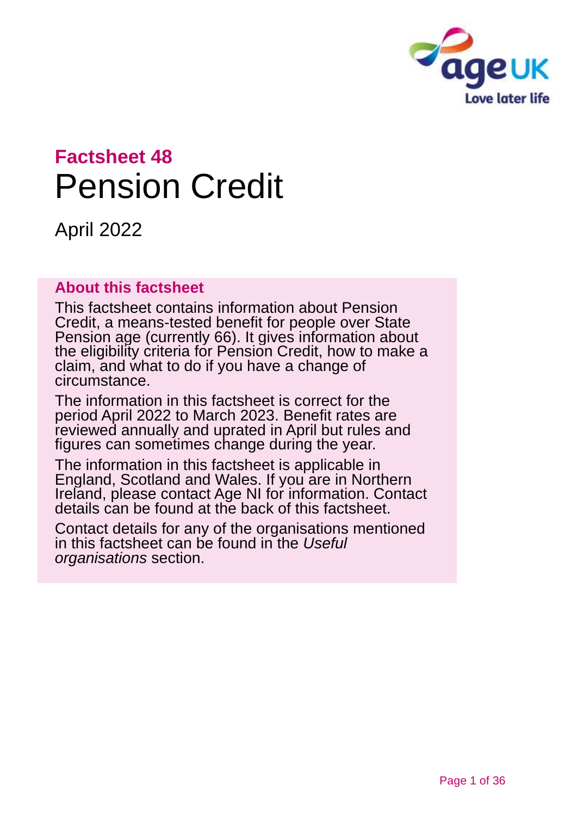

# **Factsheet 48** Pension Credit

April 2022

#### **About this factsheet**

This factsheet contains information about Pension Credit, a means-tested benefit for people over State Pension age (currently 66). It gives information about the eligibility criteria for Pension Credit, how to make a claim, and what to do if you have a change of circumstance.

The information in this factsheet is correct for the period April 2022 to March 2023. Benefit rates are reviewed annually and uprated in April but rules and figures can sometimes change during the year.

The information in this factsheet is applicable in England, Scotland and Wales. If you are in Northern Ireland, please contact [Age NI](#page-34-0) for information. Contact details can be found at the back of this factsheet.

Contact details for any of the organisations mentioned in this factsheet can be found in the *[Useful](#page-32-0)  [organisations](#page-32-0)* section.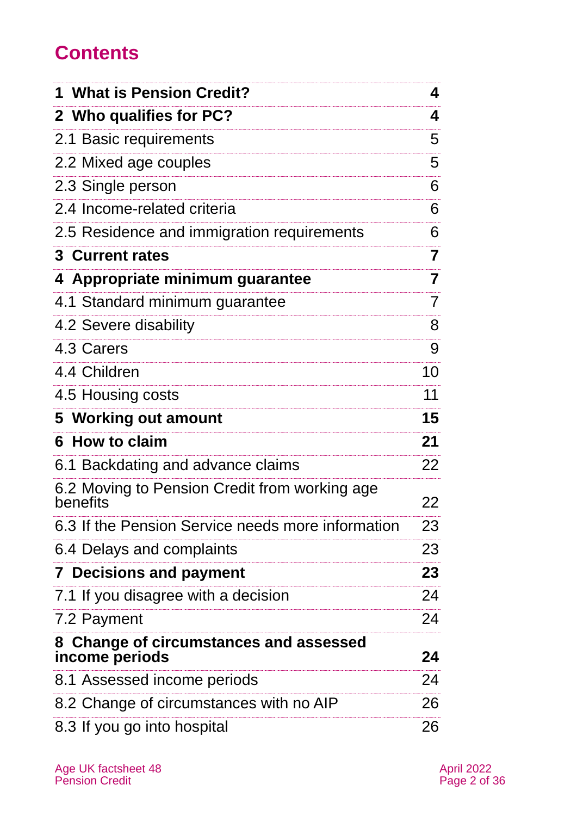# **Contents**

| 1 What is Pension Credit?                                 | 4  |
|-----------------------------------------------------------|----|
| 2 Who qualifies for PC?                                   | 4  |
| 2.1 Basic requirements                                    | 5  |
| 2.2 Mixed age couples                                     | 5  |
| 2.3 Single person                                         | 6  |
| 2.4 Income-related criteria                               | 6  |
| 2.5 Residence and immigration requirements                | 6  |
| 3 Current rates                                           | 7  |
| 4 Appropriate minimum guarantee                           | 7  |
| 4.1 Standard minimum guarantee                            | 7  |
| 4.2 Severe disability                                     | 8  |
| 4.3 Carers                                                | 9  |
| 4.4 Children                                              | 10 |
| 4.5 Housing costs                                         | 11 |
| 5 Working out amount                                      | 15 |
| 6 How to claim                                            | 21 |
| 6.1 Backdating and advance claims                         | 22 |
| 6.2 Moving to Pension Credit from working age<br>benefits | 22 |
| 6.3 If the Pension Service needs more information         | 23 |
| 6.4 Delays and complaints                                 | 23 |
| <b>7 Decisions and payment</b>                            | 23 |
| 7.1 If you disagree with a decision                       | 24 |
| 7.2 Payment                                               | 24 |
| 8 Change of circumstances and assessed<br>income periods  | 24 |
| 8.1 Assessed income periods                               | 24 |
| 8.2 Change of circumstances with no AIP                   | 26 |
| 8.3 If you go into hospital                               | 26 |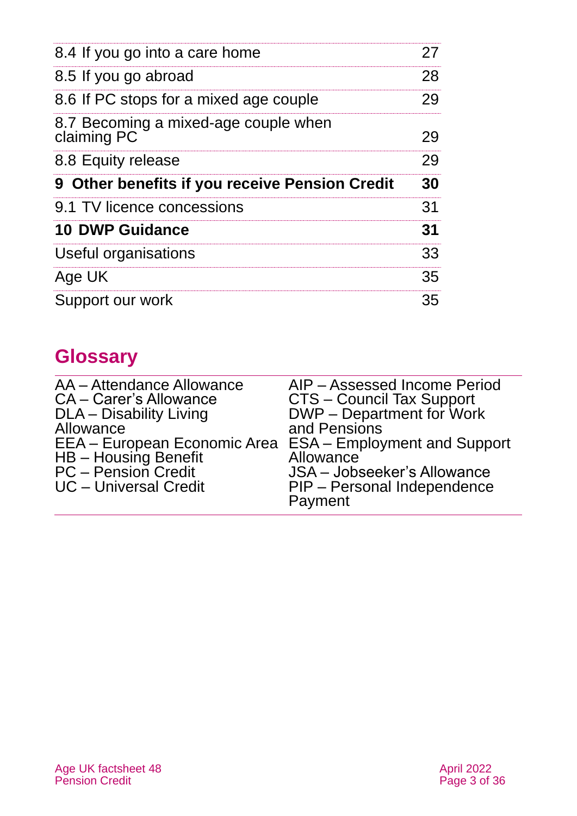| 8.4 If you go into a care home                      | 27 |
|-----------------------------------------------------|----|
| 8.5 If you go abroad                                | 28 |
| 8.6 If PC stops for a mixed age couple              | 29 |
| 8.7 Becoming a mixed-age couple when<br>claiming PC | 29 |
| 8.8 Equity release                                  | 29 |
| 9 Other benefits if you receive Pension Credit      | 30 |
| 9.1 TV licence concessions                          | 31 |
| <b>10 DWP Guidance</b>                              | 31 |
| Useful organisations                                | 33 |
| Age UK                                              | 35 |
| Support our work                                    | 35 |

# **Glossary**

| AA - Attendance Allowance                   | AIP - Assessed Income Period                              |
|---------------------------------------------|-----------------------------------------------------------|
| CA - Carer's Allowance                      | <b>CTS - Council Tax Support</b>                          |
| DLA - Disability Living                     | <b>DWP</b> – Department for Work                          |
| Allowance                                   | and Pensions                                              |
|                                             | EEA - European Economic Area ESA - Employment and Support |
|                                             | Allowance                                                 |
| HB - Housing Benefit<br>PC - Pension Credit | JSA - Jobseeker's Allowance                               |
| <b>UC</b> - Universal Credit                | PIP - Personal Independence                               |
|                                             | Payment                                                   |
|                                             |                                                           |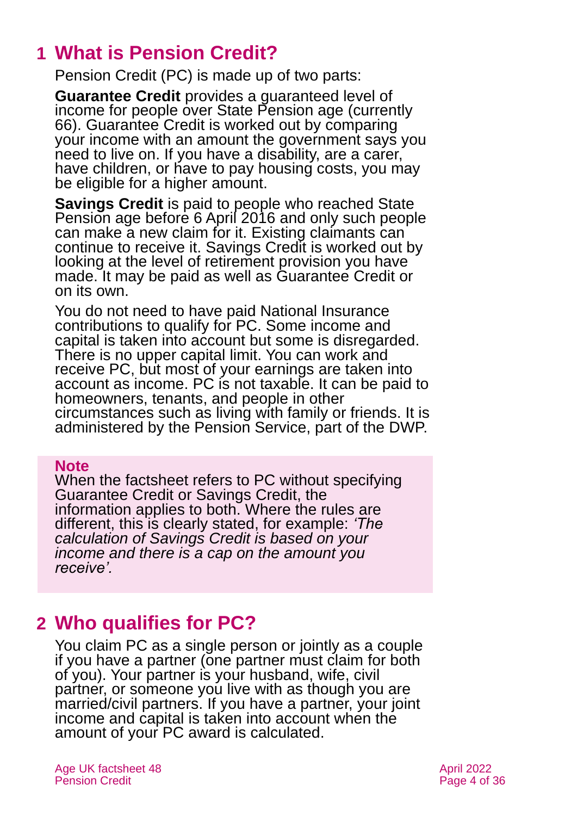# <span id="page-3-0"></span>**1 What is Pension Credit?**

Pension Credit (PC) is made up of two parts:

**Guarantee Credit** provides a guaranteed level of income for people over State Pension age (currently 66). Guarantee Credit is worked out by comparing your income with an amount the government says you need to live on. If you have a disability, are a carer, have children, or have to pay housing costs, you may be eligible for a higher amount.

**Savings Credit** is paid to people who reached State Pension age before 6 April 2016 and only such people can make a new claim for it. Existing claimants can continue to receive it. Savings Credit is worked out by looking at the level of retirement provision you have made. It may be paid as well as Guarantee Credit or on its own.

You do not need to have paid National Insurance contributions to qualify for PC. Some income and capital is taken into account but some is disregarded. There is no upper capital limit. You can work and receive PC, but most of your earnings are taken into account as income. PC is not taxable. It can be paid to homeowners, tenants, and people in other circumstances such as living with family or friends. It is administered by the Pension Service, part of the DWP.

#### **Note**

When the factsheet refers to PC without specifying Guarantee Credit or Savings Credit, the information applies to both. Where the rules are different, this is clearly stated, for example: *'The calculation of Savings Credit is based on your income and there is a cap on the amount you receive'.*

# <span id="page-3-1"></span>**2 Who qualifies for PC?**

You claim PC as a single person or jointly as a couple if you have a partner (one partner must claim for both of you). Your partner is your husband, wife, civil partner, or someone you live with as though you are married/civil partners. If you have a partner, your joint income and capital is taken into account when the amount of your PC award is calculated.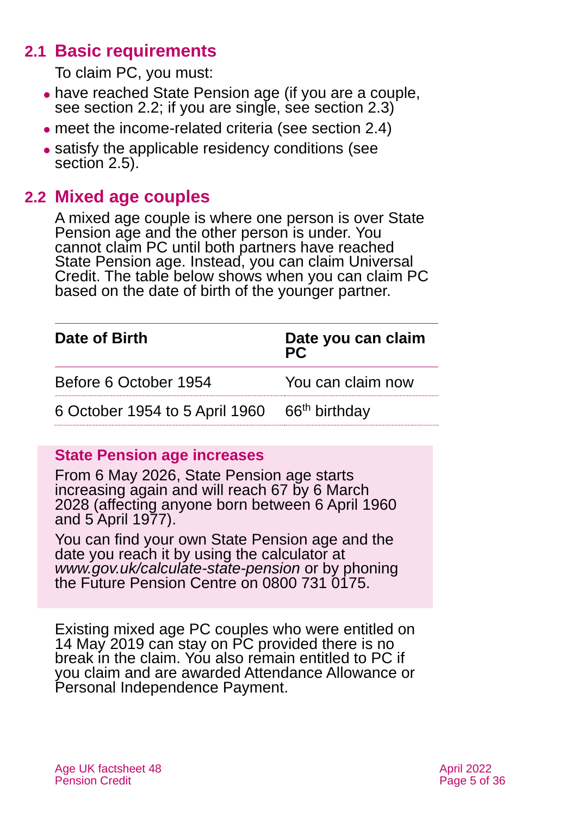# **2.1 Basic requirements**

To claim PC, you must:

- ⚫ have reached State Pension age (if you are a couple, [see section](#page-4-0) 2.2; if you are single, see [section 2.3\)](#page-5-0)
- ⚫ meet the income-related criteria (see [section 2.4\)](#page-5-1)
- <span id="page-4-0"></span>⚫ satisfy the applicable residency conditions (see [section 2.5\)](#page-5-2).

## **2.2 Mixed age couples**

A mixed age couple is where one person is over State Pension age and the other person is under. You cannot claim PC until both partners have reached State Pension age. Instead, you can claim Universal Credit. The table below shows when you can claim PC based on the date of birth of the younger partner.

| Date you can claim<br>PC |
|--------------------------|
| You can claim now        |
|                          |
|                          |

### **State Pension age increases**

From 6 May 2026, State Pension age starts increasing again and will reach 67 by 6 March 2028 (affecting anyone born between 6 April 1960 and 5 April 1977).

You can find your own State Pension age and the date you reach it by using the calculator at *[www.gov.uk/calculate-state-pension](http://www.gov.uk/calculate-state-pension)* or by phoning the Future Pension Centre on 0800 731 0175.

Existing mixed age PC couples who were entitled on 14 May 2019 can stay on PC provided there is no break in the claim. You also remain entitled to PC if you claim and are awarded Attendance Allowance or Personal Independence Payment.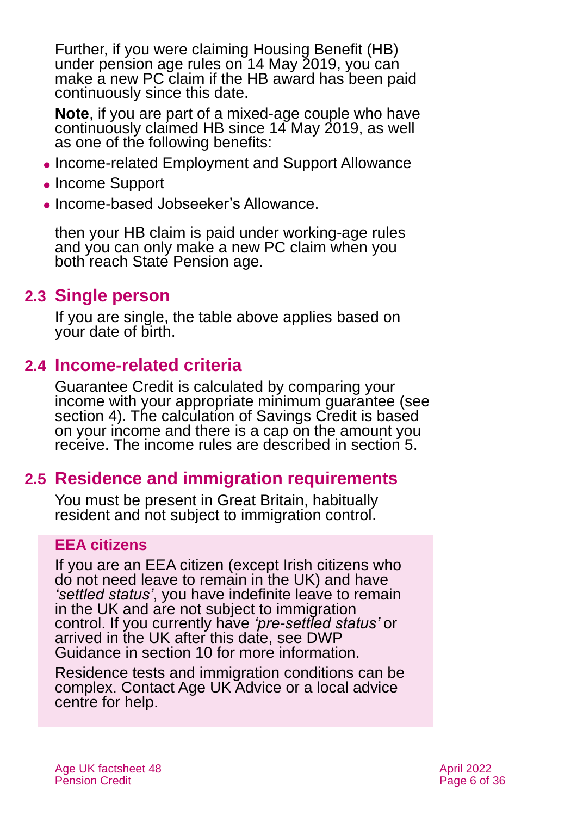Further, if you were claiming Housing Benefit (HB) under pension age rules on 14 May 2019, you can make a new PC claim if the HB award has been paid continuously since this date.

**Note**, if you are part of a mixed-age couple who have continuously claimed HB since 14 May 2019, as well as one of the following benefits:

- ⚫ Income-related Employment and Support Allowance
- Income Support
- ⚫ Income-based Jobseeker's Allowance.

then your HB claim is paid under working-age rules and you can only make a new PC claim when you both reach State Pension age.

### <span id="page-5-0"></span>**2.3 Single person**

<span id="page-5-1"></span>If you are single, the table above applies based on your date of birth.

#### **2.4 Income-related criteria**

Guarantee Credit is calculated by comparing your income with your appropriate minimum guarantee (see [section 4\)](#page-6-1). The calculation of Savings Credit is based on your income and there is a cap on the amount you receive. The income rules are described in [section 5.](#page-14-0)

### <span id="page-5-2"></span>**2.5 Residence and immigration requirements**

You must be present in Great Britain, habitually resident and not subject to immigration control.

#### **EEA citizens**

If you are an EEA citizen (except Irish citizens who do not need leave to remain in the UK) and have *'settled status'*, you have indefinite leave to remain in the UK and are not subject to immigration control. If you currently have *'pre-settled status'* or arrived in the UK after this date, see DWP Guidance in [section 10](#page-30-0) for more information.

Residence tests and immigration conditions can be complex. Contact [Age UK Advice](#page-34-1) or a local advice centre for help.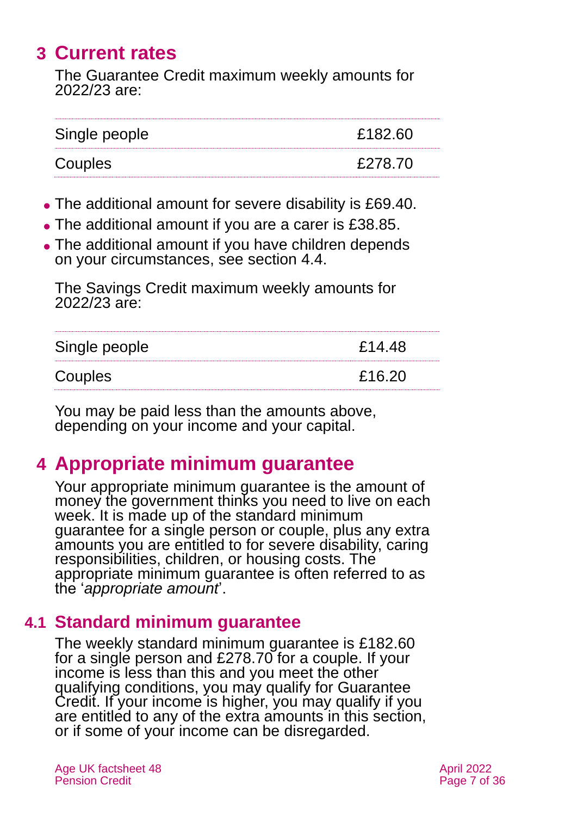# <span id="page-6-0"></span>**3 Current rates**

The Guarantee Credit maximum weekly amounts for 2022/23 are:

| Single people | 4182.60           |
|---------------|-------------------|
| Couples       | ት፡ <i>ን</i> 78 7በ |

- ⚫ The additional amount for severe disability is £69.40.
- ⚫ The additional amount if you are a carer is £38.85.
- ⚫ The additional amount if you have children depends on your circumstances, see [section 4.4.](#page-9-0)

The Savings Credit maximum weekly amounts for 2022/23 are:

| Single people | £14.48 |
|---------------|--------|
| Couples       | £16.20 |

You may be paid less than the amounts above, depending on your income and your capital.

# <span id="page-6-1"></span>**4 Appropriate minimum guarantee**

Your appropriate minimum guarantee is the amount of money the government thinks you need to live on each week. It is made up of the standard minimum guarantee for a single person or couple, plus any extra amounts you are entitled to for severe disability, caring responsibilities, children, or housing costs. The appropriate minimum guarantee is often referred to as the '*appropriate amount*'.

### **4.1 Standard minimum guarantee**

The weekly standard minimum guarantee is £182.60 for a single person and £278.70 for a couple. If your income is less than this and you meet the other qualifying conditions, you may qualify for Guarantee Credit. If your income is higher, you may qualify if you are entitled to any of the extra amounts in this section, or if some of your income can be disregarded.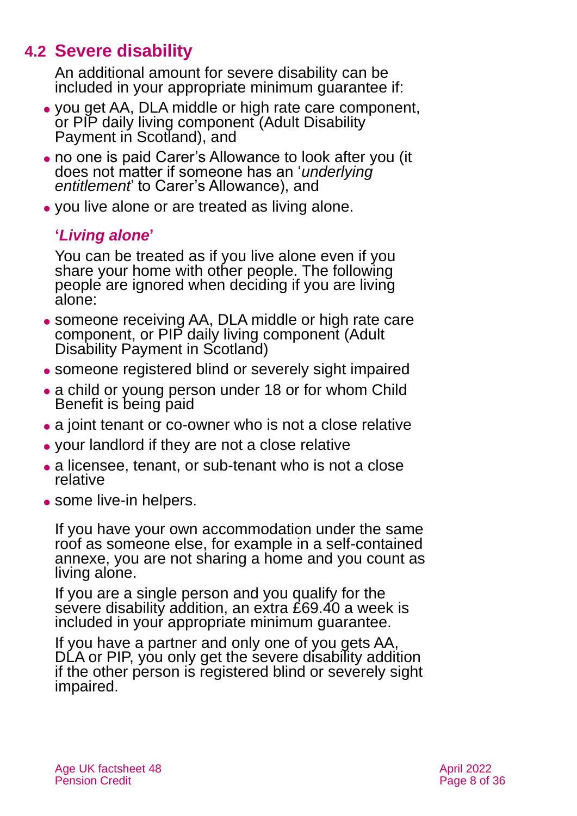# **4.2 Severe disability**

<span id="page-7-0"></span>An additional amount for severe disability can be included in your appropriate minimum quarantee if:

- ⚫ you get AA, DLA middle or high rate care component, or PIP daily living component (Adult Disability Payment in Scotland), and
- ⚫ no one is paid Carer's Allowance to look after you (it does not matter if someone has an '*underlying entitlement*' to Carer's Allowance), and
- ⚫ you live alone or are treated as living alone.

## **'***Living alone***'**

You can be treated as if you live alone even if you share your home with other people. The following people are ignored when deciding if you are living alone:

- ⚫ someone receiving AA, DLA middle or high rate care component, or PIP daily living component (Adult Disability Payment in Scotland)
- ⚫ someone registered blind or severely sight impaired
- a child or young person under 18 or for whom Child Benefit is being paid
- a joint tenant or co-owner who is not a close relative
- ⚫ your landlord if they are not a close relative
- ⚫ a licensee, tenant, or sub-tenant who is not a close relative
- some live-in helpers.

If you have your own accommodation under the same roof as someone else, for example in a self-contained annexe, you are not sharing a home and you count as living alone.

If you are a single person and you qualify for the severe disability addition, an extra £69.40 a week is included in your appropriate minimum guarantee.

If you have a partner and only one of you gets AA, DLA or PIP, you only get the severe disability addition if the other person is registered blind or severely sight impaired.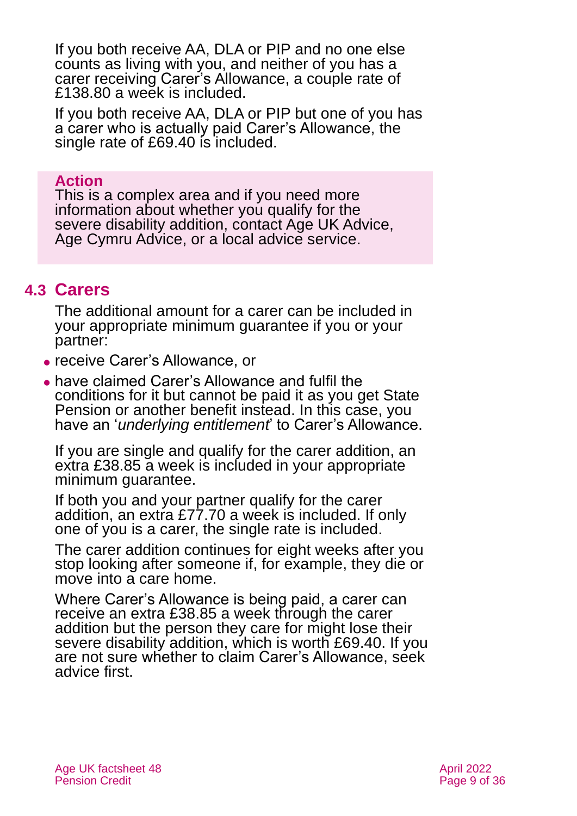If you both receive AA, DLA or PIP and no one else counts as living with you, and neither of you has a carer receiving Carer's Allowance, a couple rate of £138.80 a week is included.

If you both receive AA, DLA or PIP but one of you has a carer who is actually paid Carer's Allowance, the single rate of £69.40 is included.

#### **Action**

This is a complex area and if you need more information about whether you qualify for the severe disability addition, contact [Age UK Advice,](#page-34-1) [Age Cymru](#page-34-3) Advice, or a local advice service.

### <span id="page-8-0"></span>**4.3 Carers**

The additional amount for a carer can be included in your appropriate minimum guarantee if you or your partner:

- ⚫ receive Carer's Allowance, or
- ⚫ have claimed Carer's Allowance and fulfil the conditions for it but cannot be paid it as you get State Pension or another benefit instead. In this case, you have an '*underlying entitlement*' to Carer's Allowance.

If you are single and qualify for the carer addition, an extra £38.85 a week is included in your appropriate minimum guarantee.

If both you and your partner qualify for the carer addition, an extra £77.70 a week is included. If only one of you is a carer, the single rate is included.

The carer addition continues for eight weeks after you stop looking after someone if, for example, they die or move into a care home.

Where Carer's Allowance is being paid, a carer can receive an extra £38.85 a week through the carer addition but the person they care for might lose their severe disability addition, which is worth £69.40. If you are not sure whether to claim Carer's Allowance, seek advice first.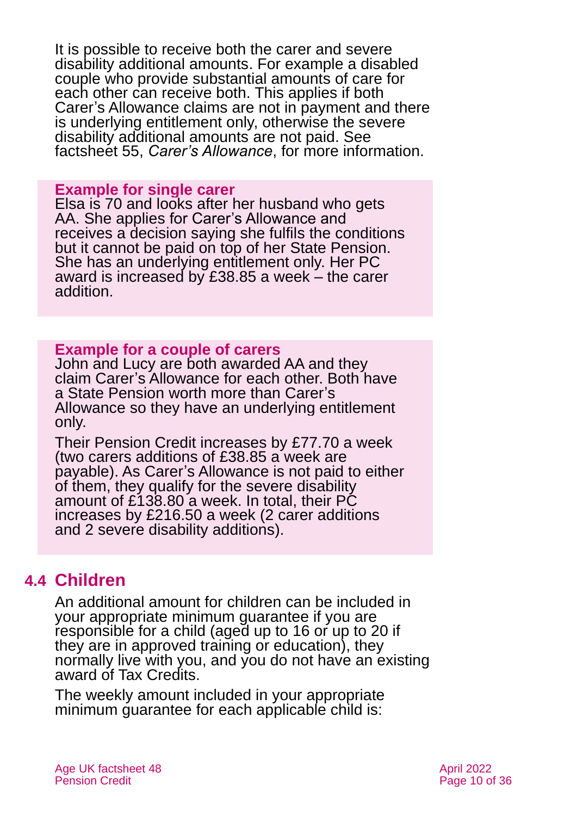It is possible to receive both the carer and severe disability additional amounts. For example a disabled couple who provide substantial amounts of care for each other can receive both. This applies if both Carer's Allowance claims are not in payment and there is underlying entitlement only, otherwise the severe disability additional amounts are not paid. See factsheet 55, *[Carer's Allowance](https://www.ageuk.org.uk/globalassets/age-uk/documents/factsheets/fs55_carers_allowance_fcs.pdf)*, for more information.

#### **Example for single carer**

Elsa is 70 and looks after her husband who gets AA. She applies for Carer's Allowance and receives a decision saying she fulfils the conditions but it cannot be paid on top of her State Pension. She has an underlying entitlement only. Her PC award is increased by £38.85 a week – the carer addition.

#### **Example for a couple of carers**

John and Lucy are both awarded AA and they claim Carer's Allowance for each other. Both have a State Pension worth more than Carer's Allowance so they have an underlying entitlement only.

Their Pension Credit increases by £77.70 a week (two carers additions of £38.85 a week are payable). As Carer's Allowance is not paid to either of them, they qualify for the severe disability amount of £138.80 a week. In total, their PC increases by £216.50 a week (2 carer additions and 2 severe disability additions).

### <span id="page-9-0"></span>**4.4 Children**

An additional amount for children can be included in your appropriate minimum guarantee if you are responsible for a child (aged up to 16 or up to 20 if they are in approved training or education), they normally live with you, and you do not have an existing award of Tax Credits.

The weekly amount included in your appropriate minimum guarantee for each applicable child is: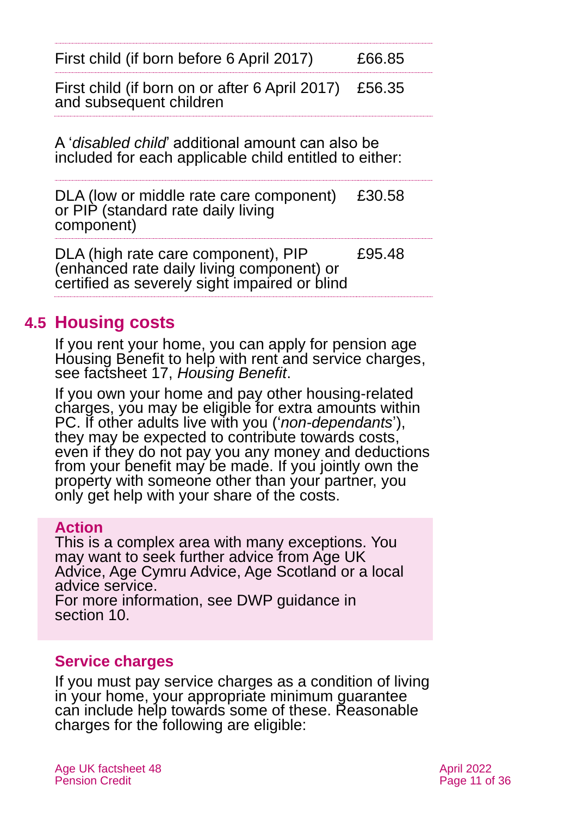| First child (if born before 6 April 2017) | £66.85 |
|-------------------------------------------|--------|
|-------------------------------------------|--------|

First child (if born on or after 6 April 2017) and subsequent children £56.35

A '*disabled child*' additional amount can also be included for each applicable child entitled to either:

DLA (low or middle rate care component) or PIP (standard rate daily living component) £30.58

DLA (high rate care component), PIP (enhanced rate daily living component) or certified as severely sight impaired or blind £95.48

### <span id="page-10-0"></span>**4.5 Housing costs**

If you rent your home, you can apply for pension age Housing Benefit to help with rent and service charges, see factsheet 17, *[Housing Benefit](https://www.ageuk.org.uk/globalassets/age-uk/documents/factsheets/fs17_housing_benefit_fcs.pdf)*.

If you own your home and pay other housing-related charges, you may be eligible for extra amounts within PC. If other adults live with you ('*non-dependants*'), they may be expected to contribute towards costs, even if they do not pay you any money and deductions from your benefit may be made. If you jointly own the property with someone other than your partner, you only get help with your share of the costs.

#### **Action**

This is a complex area with many exceptions. You may want to seek further advice from [Age UK](#page-34-1)  [Advice,](#page-34-1) Age Cymru Advice, Age Scotland or a local advice service. For more information, see DWP guidance [in](#page-30-0) 

[section 10.](#page-30-0)

#### **Service charges**

If you must pay service charges as a condition of living in your home, your appropriate minimum guarantee can include help towards some of these. Reasonable charges for the following are eligible: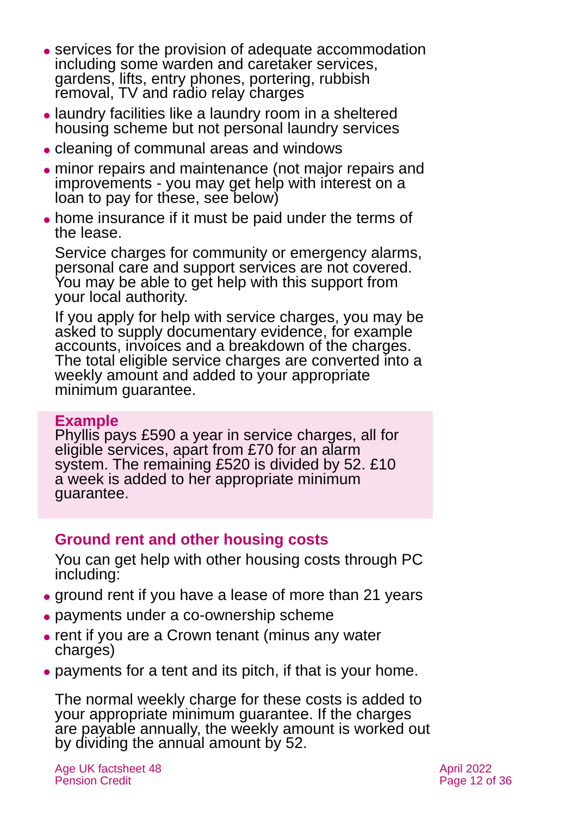- ⚫ services for the provision of adequate accommodation including some warden and caretaker services, gardens, lifts, entry phones, portering, rubbish removal, TV and radio relay charges
- ⚫ laundry facilities like a laundry room in a sheltered housing scheme but not personal laundry services
- ⚫ cleaning of communal areas and windows
- ⚫ minor repairs and maintenance (not major repairs and improvements - you may get help with interest on a loan to pay for these, see below)
- ⚫ home insurance if it must be paid under the terms of the lease.

Service charges for community or emergency alarms, personal care and support services are not covered. You may be able to get help with this support from your local authority.

If you apply for help with service charges, you may be asked to supply documentary evidence, for example accounts, invoices and a breakdown of the charges. The total eligible service charges are converted into a weekly amount and added to your appropriate minimum guarantee.

#### **Example**

Phyllis pays £590 a year in service charges, all for eligible services, apart from £70 for an alarm system. The remaining £520 is divided by 52. £10 a week is added to her appropriate minimum guarantee.

### **Ground rent and other housing costs**

You can get help with other housing costs through PC including:

- ⚫ ground rent if you have a lease of more than 21 years
- ⚫ payments under a co-ownership scheme
- rent if you are a Crown tenant (minus any water charges)
- ⚫ payments for a tent and its pitch, if that is your home.

The normal weekly charge for these costs is added to your appropriate minimum guarantee. If the charges are payable annually, the weekly amount is worked out by dividing the annual amount by 52.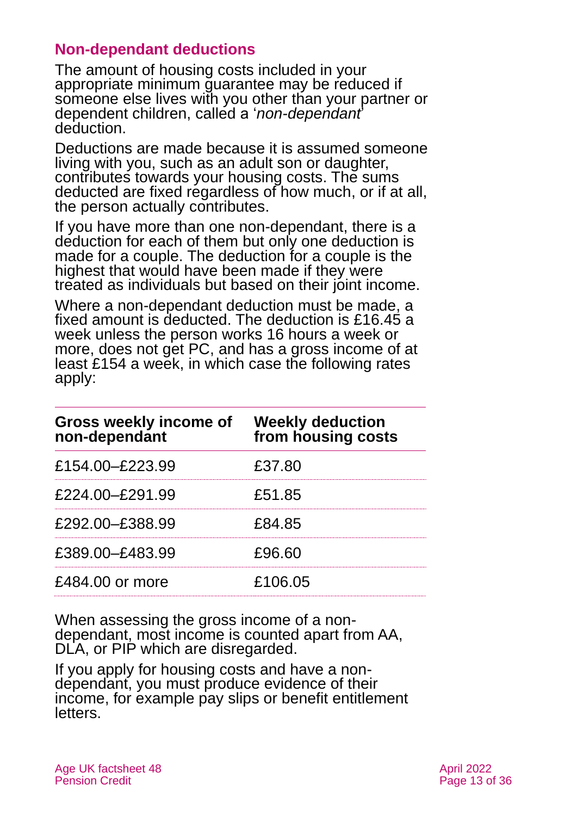#### **Non-dependant deductions**

The amount of housing costs included in your appropriate minimum guarantee may be reduced if someone else lives with you other than your partner or dependent children, called a '*non-dependant*' deduction.

Deductions are made because it is assumed someone living with you, such as an adult son or daughter, contributes towards your housing costs. The sums deducted are fixed regardless of how much, or if at all, the person actually contributes.

If you have more than one non-dependant, there is a deduction for each of them but only one deduction is made for a couple. The deduction for a couple is the highest that would have been made if they were treated as individuals but based on their joint income.

Where a non-dependant deduction must be made, a fixed amount is deducted. The deduction is £16.45 a week unless the person works 16 hours a week or more, does not get PC, and has a gross income of at least £154 a week, in which case the following rates apply:

| Gross weekly income of<br>non-dependant | <b>Weekly deduction<br/>from housing costs</b> |
|-----------------------------------------|------------------------------------------------|
| £154.00-£223.99                         | £37.80                                         |
| £224.00-£291.99                         | £51.85                                         |
| £292.00-£388.99                         | £84.85                                         |
| £389.00-£483.99                         | £96.60                                         |
| £484,00 or more                         | £106.05                                        |

When assessing the gross income of a nondependant, most income is counted apart from AA, DLA, or PIP which are disregarded.

If you apply for housing costs and have a nondependant, you must produce evidence of their income, for example pay slips or benefit entitlement letters.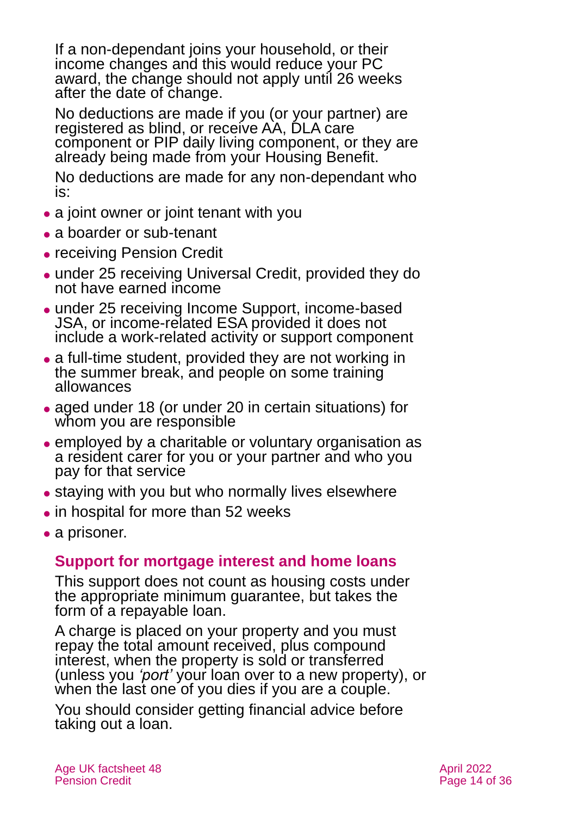If a non-dependant joins your household, or their income changes and this would reduce your PC award, the change should not apply until 26 weeks after the date of change.

No deductions are made if you (or your partner) are registered as blind, or receive AA, DLA care component or PIP daily living component, or they are already being made from your Housing Benefit.

No deductions are made for any non-dependant who is:

- a joint owner or joint tenant with you
- a boarder or sub-tenant
- receiving Pension Credit
- ⚫ under 25 receiving Universal Credit, provided they do not have earned income
- ⚫ under 25 receiving Income Support, income-based JSA, or income-related ESA provided it does not include a work-related activity or support component
- a full-time student, provided they are not working in the summer break, and people on some training allowances
- ⚫ aged under 18 (or under 20 in certain situations) for whom you are responsible
- ⚫ employed by a charitable or voluntary organisation as a resident carer for you or your partner and who you pay for that service
- staying with you but who normally lives elsewhere
- in hospital for more than 52 weeks
- a prisoner.

# **Support for mortgage interest and home loans**

This support does not count as housing costs under the appropriate minimum guarantee, but takes the form of a repayable loan.

A charge is placed on your property and you must repay the total amount received, plus compound interest, when the property is sold or transferred (unless you *'port'* your loan over to a new property), or when the last one of you dies if you are a couple.

You should consider getting financial advice before taking out a loan.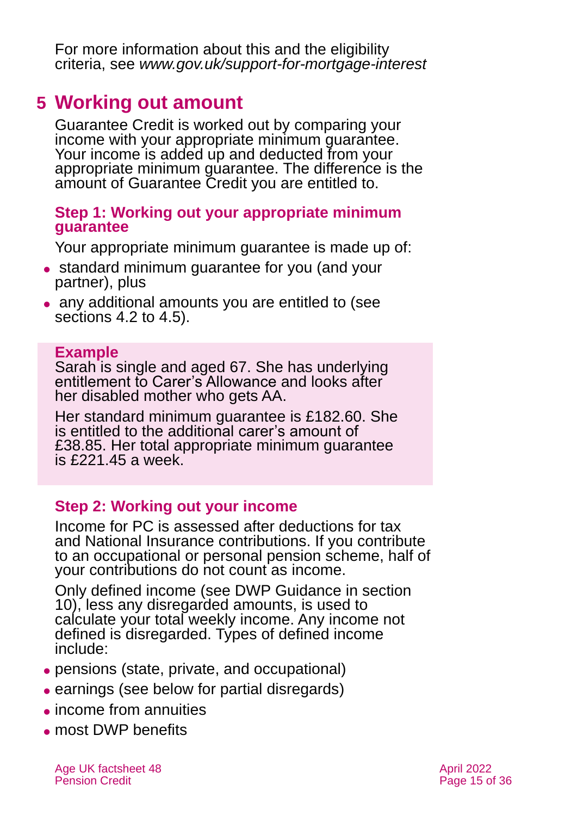For more information about this and the eligibility criteria, see *[www.gov.uk/support-for-mortgage-interest](http://www.gov.uk/support-for-mortgage-interest)*

# <span id="page-14-0"></span>**5 Working out amount**

Guarantee Credit is worked out by comparing your income with your appropriate minimum guarantee. Your income is added up and deducted from your appropriate minimum guarantee. The difference is the amount of Guarantee Credit you are entitled to.

#### <span id="page-14-2"></span>**Step 1: Working out your appropriate minimum guarantee**

Your appropriate minimum guarantee is made up of:

- standard minimum guarantee for you (and your partner), plus
- ⚫ any additional amounts you are entitled to (see [sections](#page-7-0) 4.2 to 4.5).

#### **Example**

Sarah is single and aged 67. She has underlying entitlement to Carer's Allowance and looks after her disabled mother who gets AA.

Her standard minimum guarantee is £182.60. She is entitled to the additional carer's amount of £38.85. Her total appropriate minimum guarantee is £221.45 a week.

#### <span id="page-14-1"></span>**Step 2: Working out your income**

Income for PC is assessed after deductions for tax and National Insurance contributions. If you contribute to an occupational or personal pension scheme, half of your contributions do not count as income.

Only defined income (see DWP Guidance in [section](#page-30-0)  [10\)](#page-30-0), less any disregarded amounts, is used to calculate your total weekly income. Any income not defined is disregarded. Types of defined income include:

- ⚫ pensions (state, private, and occupational)
- ⚫ earnings (see below for partial disregards)
- ⚫ income from annuities
- ⚫ most DWP benefits

Age UK factsheet 48 April 2022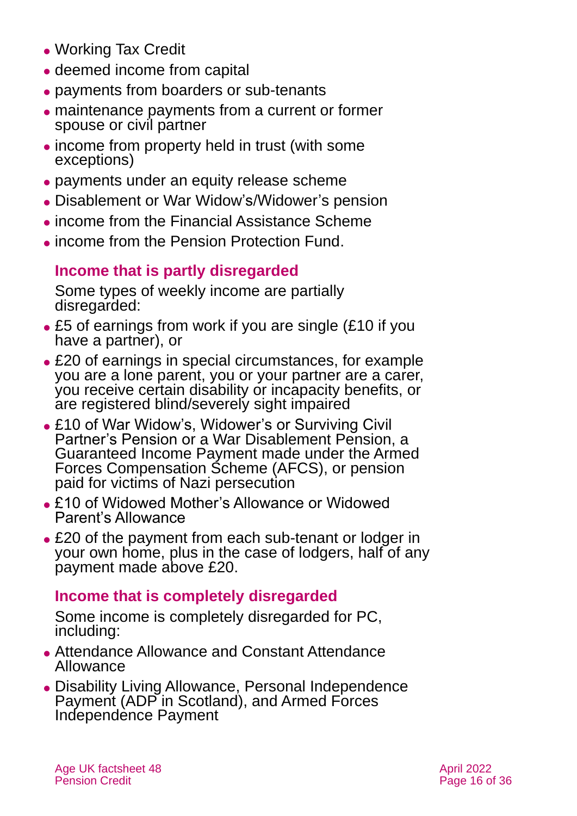- ⚫ Working Tax Credit
- deemed income from capital
- ⚫ payments from boarders or sub-tenants
- ⚫ maintenance payments from a current or former spouse or civil partner
- ⚫ income from property held in trust (with some exceptions)
- ⚫ payments under an equity release scheme
- ⚫ Disablement or War Widow's/Widower's pension
- ⚫ income from the Financial Assistance Scheme
- ⚫ income from the Pension Protection Fund.

### **Income that is partly disregarded**

Some types of weekly income are partially disregarded:

- £5 of earnings from work if you are single (£10 if you have a partner), or
- £20 of earnings in special circumstances, for example you are a lone parent, you or your partner are a carer, you receive certain disability or incapacity benefits, or are registered blind/severely sight impaired
- £10 of War Widow's, Widower's or Surviving Civil Partner's Pension or a War Disablement Pension, a Guaranteed Income Payment made under the Armed Forces Compensation Scheme (AFCS), or pension paid for victims of Nazi persecution
- ⚫ £10 of Widowed Mother's Allowance or Widowed Parent's Allowance
- £20 of the payment from each sub-tenant or lodger in your own home, plus in the case of lodgers, half of any payment made above £20.

#### **Income that is completely disregarded**

Some income is completely disregarded for PC, including:

- ⚫ Attendance Allowance and Constant Attendance Allowance
- ⚫ Disability Living Allowance, Personal Independence Payment (ADP in Scotland), and Armed Forces Independence Payment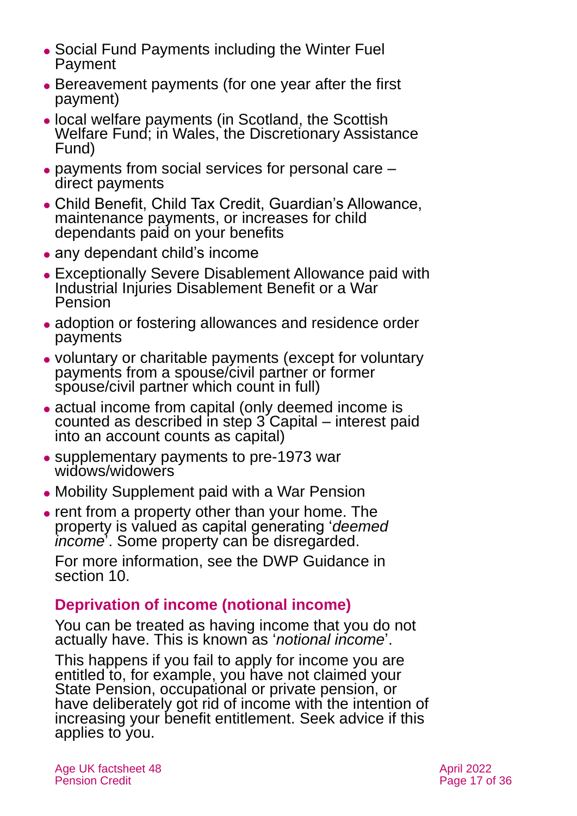- ⚫ Social Fund Payments including the Winter Fuel Payment
- ⚫ Bereavement payments (for one year after the first payment)
- ⚫ local welfare payments (in Scotland, the Scottish Welfare Fund; in Wales, the Discretionary Assistance Fund)
- ⚫ payments from social services for personal care direct payments
- ⚫ Child Benefit, Child Tax Credit, Guardian's Allowance, maintenance payments, or increases for child dependants paid on your benefits
- any dependant child's income
- ⚫ Exceptionally Severe Disablement Allowance paid with Industrial Injuries Disablement Benefit or a War Pension
- ⚫ adoption or fostering allowances and residence order payments
- ⚫ voluntary or charitable payments (except for voluntary payments from a spouse/civil partner or former spouse/civil partner which count in full)
- actual income from capital (only deemed income is counted as described in step 3 Capital – interest paid into an account counts as capital)
- ⚫ supplementary payments to pre-1973 war widows/widowers
- ⚫ Mobility Supplement paid with a War Pension
- ⚫ rent from a property other than your home. The property is valued as capital generating '*deemed income*<sup>'</sup>. Some property can be disregarded.

For more information, see the DWP Guidance in [section 10.](#page-30-0)

### **Deprivation of income (notional income)**

You can be treated as having income that you do not actually have. This is known as '*notional income*'.

This happens if you fail to apply for income you are entitled to, for example, you have not claimed your State Pension, occupational or private pension, or have deliberately got rid of income with the intention of increasing your benefit entitlement. Seek advice if this applies to you.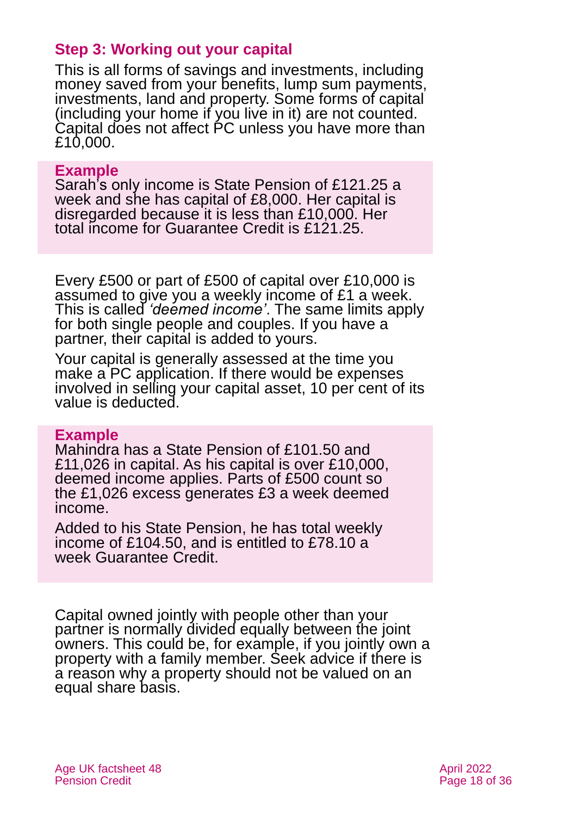#### **Step 3: Working out your capital**

This is all forms of savings and investments, including money saved from your benefits, lump sum payments, investments, land and property. Some forms of capital (including your home if you live in it) are not counted. Capital does not affect PC unless you have more than £10,000.

#### **Example**

Sarah's only income is State Pension of £121.25 a week and she has capital of £8,000. Her capital is disregarded because it is less than £10,000. Her total income for Guarantee Credit is £121.25.

Every £500 or part of £500 of capital over £10,000 is assumed to give you a weekly income of £1 a week. This is called *'deemed income'*. The same limits apply for both single people and couples. If you have a partner, their capital is added to yours.

Your capital is generally assessed at the time you make a PC application. If there would be expenses involved in selling your capital asset, 10 per cent of its value is deducted.

#### **Example**

Mahindra has a State Pension of £101.50 and £11,026 in capital. As his capital is over £10,000, deemed income applies. Parts of £500 count so the £1,026 excess generates £3 a week deemed income.

Added to his State Pension, he has total weekly income of £104.50, and is entitled to £78.10 a week Guarantee Credit.

Capital owned jointly with people other than your partner is normally divided equally between the joint owners. This could be, for example, if you jointly own a property with a family member. Seek advice if there is a reason why a property should not be valued on an equal share basis.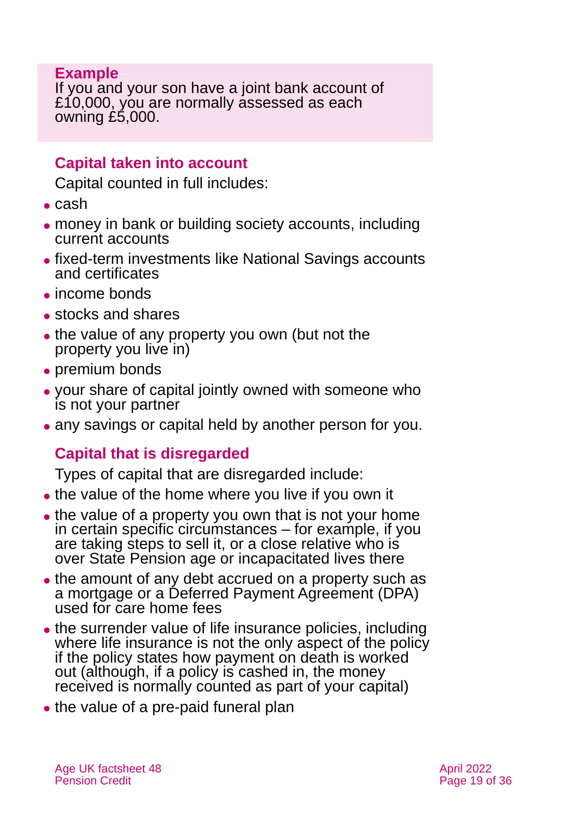#### **Example**

If you and your son have a joint bank account of £10,000, you are normally assessed as each owning £5,000.

#### **Capital taken into account**

Capital counted in full includes:

- ⚫ cash
- money in bank or building society accounts, including current accounts
- ⚫ fixed-term investments like National Savings accounts and certificates
- ⚫ income bonds
- ⚫ stocks and shares
- the value of any property you own (but not the property you live in)
- ⚫ premium bonds
- ⚫ your share of capital jointly owned with someone who is not your partner
- ⚫ any savings or capital held by another person for you.

### **Capital that is disregarded**

Types of capital that are disregarded include:

- the value of the home where you live if you own it
- ⚫ the value of a property you own that is not your home in certain specific circumstances – for example, if you are taking steps to sell it, or a close relative who is over State Pension age or incapacitated lives there
- ⚫ the amount of any debt accrued on a property such as a mortgage or a Deferred Payment Agreement (DPA) used for care home fees
- the surrender value of life insurance policies, including where life insurance is not the only aspect of the policy if the policy states how payment on death is worked out (although, if a policy is cashed in, the money received is normally counted as part of your capital)
- the value of a pre-paid funeral plan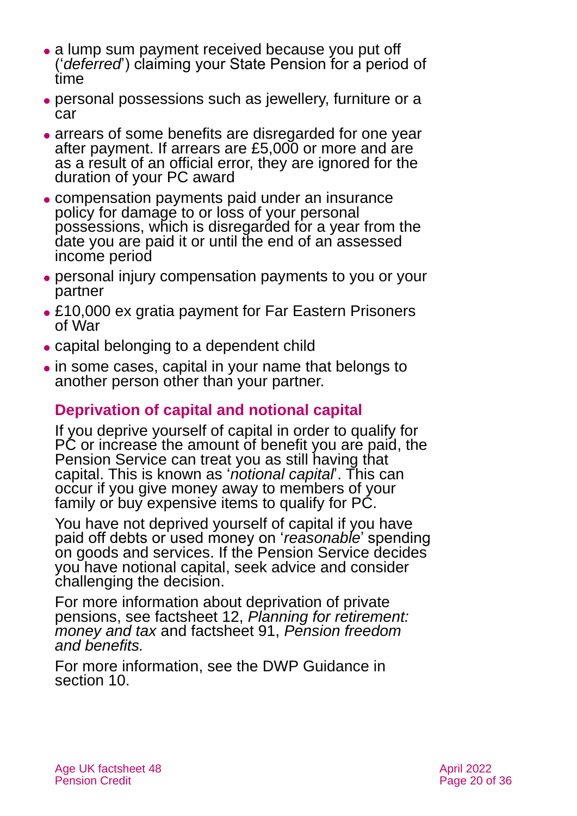- a lump sum payment received because you put off ('*deferred*') claiming your State Pension for a period of time
- ⚫ personal possessions such as jewellery, furniture or a car
- arrears of some benefits are disregarded for one year after payment. If arrears are £5,000 or more and are as a result of an official error, they are ignored for the duration of your PC award
- ⚫ compensation payments paid under an insurance policy for damage to or loss of your personal possessions, which is disregarded for a year from the date you are paid it or until the end of an assessed income period
- ⚫ personal injury compensation payments to you or your partner
- ⚫ £10,000 ex gratia payment for Far Eastern Prisoners of War
- ⚫ capital belonging to a dependent child
- ⚫ in some cases, capital in your name that belongs to another person other than your partner.

### **Deprivation of capital and notional capital**

If you deprive yourself of capital in order to qualify for PC or increase the amount of benefit you are paid, the Pension Service can treat you as still having that capital. This is known as '*notional capital*'. This can occur if you give money away to members of your family or buy expensive items to qualify for PC.

You have not deprived yourself of capital if you have paid off debts or used money on '*reasonable*' spending on goods and services. If the Pension Service decides you have notional capital, seek advice and consider challenging the decision.

For more information about deprivation of private pensions, see factsheet 12, *[Planning for retirement:](https://www.ageuk.org.uk/globalassets/age-uk/documents/factsheets/fs12_planning_your_retirement_money_and_tax_fcs.pdf)  [money and tax](https://www.ageuk.org.uk/globalassets/age-uk/documents/factsheets/fs12_planning_your_retirement_money_and_tax_fcs.pdf)* and factsheet 91, *[Pension freedom](https://www.ageuk.org.uk/globalassets/age-uk/documents/factsheets/fs91_pension_freedom_and_benefits_fcs.pdf)  [and benefits.](https://www.ageuk.org.uk/globalassets/age-uk/documents/factsheets/fs91_pension_freedom_and_benefits_fcs.pdf)*

For more information, see the DWP Guidance in [section 10.](#page-30-0)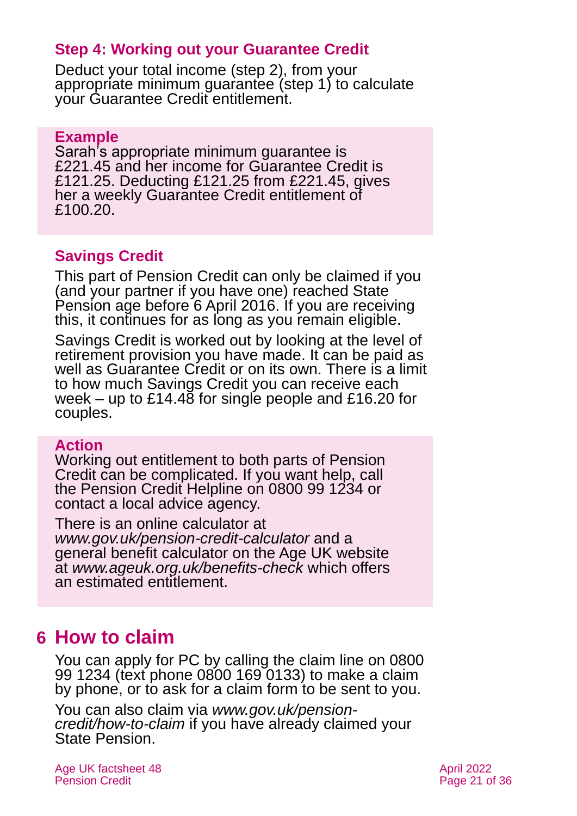#### **Step 4: Working out your Guarantee Credit**

Deduct your total income [\(step 2\)](#page-14-1), from your appropriate minimum guarantee [\(step 1\)](#page-14-2) to calculate your Guarantee Credit entitlement.

#### **Example**

Sarah's appropriate minimum guarantee is £221.45 and her income for Guarantee Credit is £121.25. Deducting £121.25 from £221.45, gives her a weekly Guarantee Credit entitlement of £100.20.

### **Savings Credit**

This part of Pension Credit can only be claimed if you (and your partner if you have one) reached State Pension age before 6 April 2016. If you are receiving this, it continues for as long as you remain eligible.

Savings Credit is worked out by looking at the level of retirement provision you have made. It can be paid as well as Guarantee Credit or on its own. There is a limit to how much Savings Credit you can receive each week – up to £14.48 for single people and £16.20 for couples.

#### **Action**

Working out entitlement to both parts of Pension Credit can be complicated. If you want help, call the Pension Credit Helpline on 0800 99 1234 or contact a local advice agency.

There is an online calculator at *[www.gov.uk/pension-credit-calculator](http://www.gov.uk/pension-credit-calculator)* and a general [benefit calculator](http://www.ageuk.org.uk/money-matters/claiming-benefits/benefits-calculator/) on the Age UK website at *[www.ageuk.org.uk/benefits-check](http://www.ageuk.org.uk/benefits-check)* which offers an estimated entitlement.

# <span id="page-20-0"></span>**6 How to claim**

You can apply for PC by calling the claim line on 0800 99 1234 (text phone 0800 169 0133) to make a claim by phone, or to ask for a claim form to be sent to you.

You can also claim via *[www.gov.uk/pension](http://www.gov.uk/pension-credit/how-to-claim)[credit/how-to-claim](http://www.gov.uk/pension-credit/how-to-claim)* if you have already claimed your State Pension.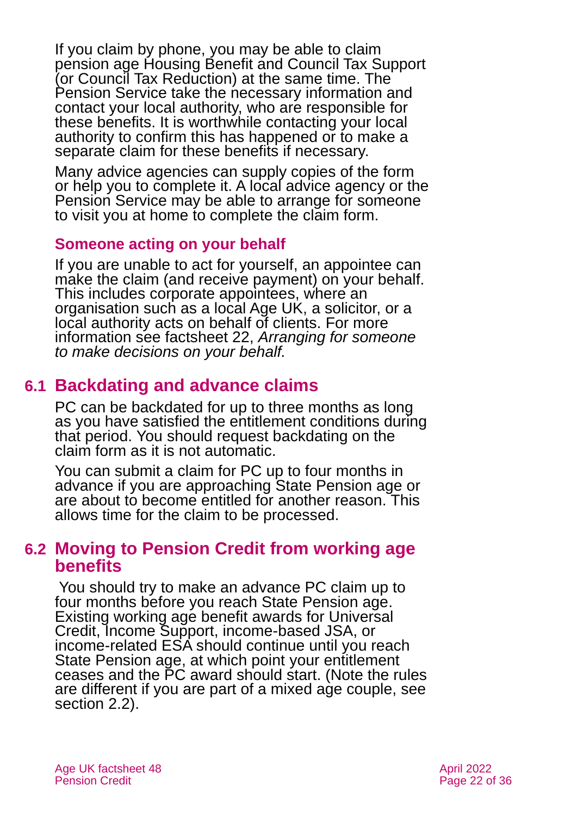If you claim by phone, you may be able to claim pension age Housing Benefit and Council Tax Support (or Council Tax Reduction) at the same time. The Pension Service take the necessary information and contact your local authority, who are responsible for these benefits. It is worthwhile contacting your local authority to confirm this has happened or to make a separate claim for these benefits if necessary.

Many advice agencies can supply copies of the form or help you to complete it. A local advice agency or the Pension Service may be able to arrange for someone to visit you at home to complete the claim form.

#### **Someone acting on your behalf**

If you are unable to act for yourself, an appointee can make the claim (and receive payment) on your behalf. This includes corporate appointees, where an organisation such as a local Age UK, a solicitor, or a local authority acts on behalf of clients. For more information see factsheet 22, *[Arranging for someone](https://www.ageuk.org.uk/globalassets/age-uk/documents/factsheets/fs22_arranging_for_someone_to_make_decisions_on_your_behalf_fcs.pdf)  [to make decisions on your behalf.](https://www.ageuk.org.uk/globalassets/age-uk/documents/factsheets/fs22_arranging_for_someone_to_make_decisions_on_your_behalf_fcs.pdf)*

## **6.1 Backdating and advance claims**

PC can be backdated for up to three months as long as you have satisfied the entitlement conditions during that period. You should request backdating on the claim form as it is not automatic.

You can submit a claim for PC up to four months in advance if you are approaching State Pension age or are about to become entitled for another reason. This allows time for the claim to be processed.

#### **6.2 Moving to Pension Credit from working age benefits**

You should try to make an advance PC claim up to four months before you reach State Pension age. Existing working age benefit awards for Universal Credit, Income Support, income-based JSA, or income-related ESA should continue until you reach State Pension age, at which point your entitlement ceases and the PC award should start. (Note the rules are different if you are part of a mixed age couple, see [section 2.2\)](#page-4-0).

Age UK factsheet 48 April 2022 Pension Credit **Page 22 of 36**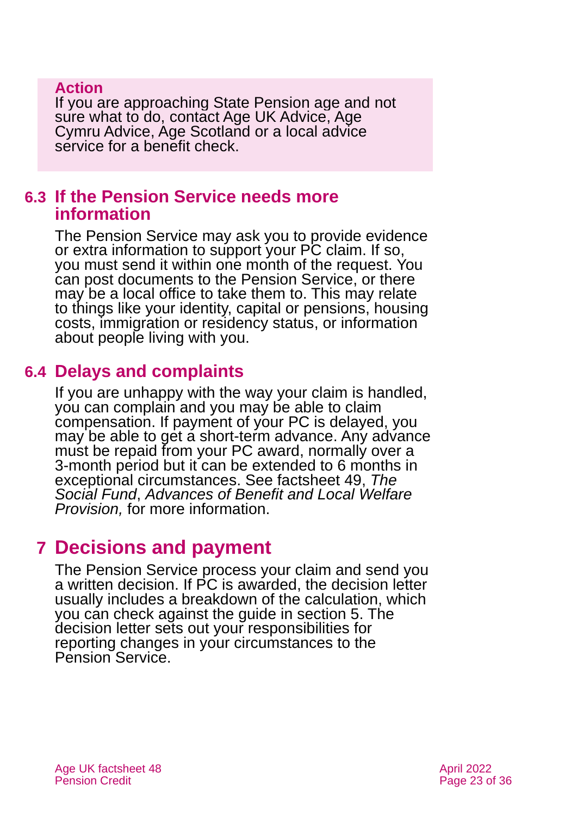#### **Action**

If you are approaching State Pension age and not sure what to do, [contact Age UK Advice,](#page-34-1) Age Cymru Advice, Age Scotland or a local advice service for a benefit check.

### **6.3 If the Pension Service needs more information**

The Pension Service may ask you to provide evidence or extra information to support your PC claim. If so, you must send it within one month of the request. You can post documents to the Pension Service, or there may be a local office to take them to. This may relate to things like your identity, capital or pensions, housing costs, immigration or residency status, or information about people living with you.

### **6.4 Delays and complaints**

If you are unhappy with the way your claim is handled, you can complain and you may be able to claim compensation. If payment of your PC is delayed, you may be able to get a short-term advance. Any advance must be repaid from your PC award, normally over a 3-month period but it can be extended to 6 months in exceptional circumstances. See [factsheet](http://www.ageuk.org.uk/Documents/EN-GB/Factsheets/FS49_The_Social_Fund,_Advances_of_Benefit_and_Local_Welfare_Provision_fcs.pdf?dtrk=true) 49, *[The](https://www.ageuk.org.uk/globalassets/age-uk/documents/factsheets/fs49_the_social_fund_advances_of_benefit_and_local_welfare_provision_fcs.pdf)  Social Fund*, *[Advances of Benefit and Local Welfare](https://www.ageuk.org.uk/globalassets/age-uk/documents/factsheets/fs49_the_social_fund_advances_of_benefit_and_local_welfare_provision_fcs.pdf)  [Provision,](https://www.ageuk.org.uk/globalassets/age-uk/documents/factsheets/fs49_the_social_fund_advances_of_benefit_and_local_welfare_provision_fcs.pdf)* for more information.

# <span id="page-22-0"></span>**7 Decisions and payment**

The Pension Service process your claim and send you a written decision. If PC is awarded, the decision letter usually includes a breakdown of the calculation, which you can check against the guide in [section](#page-14-0) 5. The decision letter sets out your responsibilities for reporting changes in your circumstances to the Pension Service.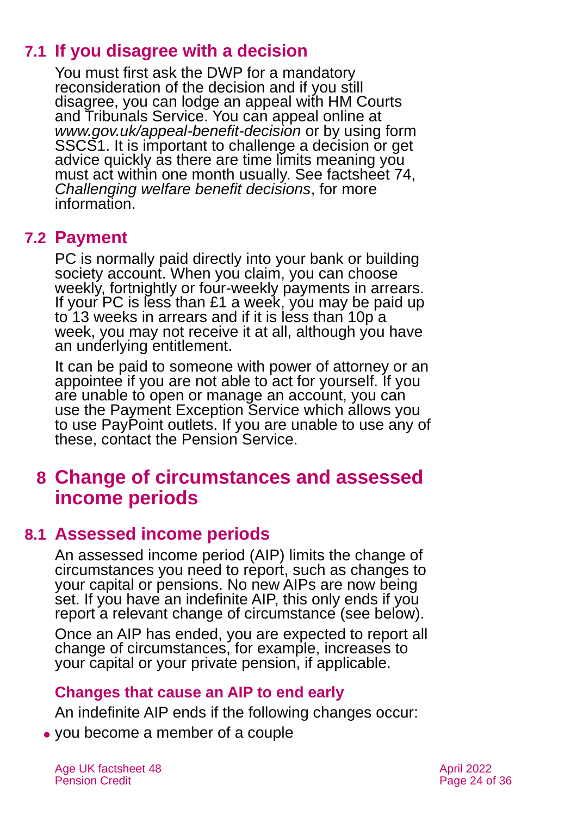# **7.1 If you disagree with a decision**

You must first ask the DWP for a mandatory reconsideration of the decision and if you still disagree, you can lodge an appeal with HM Courts and Tribunals Service. You can appeal online at *[www.gov.uk/appeal-benefit-decision](http://www.gov.uk/appeal-benefit-decision)* or by using form SSCS1. It is important to challenge a decision or get advice quickly as there are time limits meaning you must act within one month usually. See factsheet 74, *[Challenging welfare benefit decisions](https://www.ageuk.org.uk/globalassets/age-uk/documents/factsheets/fs74_challenging_welfare_benefit_decisions_fcs.pdf)*, for more information.

## **7.2 Payment**

PC is normally paid directly into your bank or building society account. When you claim, you can choose weekly, fortnightly or four-weekly payments in arrears. If your PC is less than £1 a week, you may be paid up to 13 weeks in arrears and if it is less than 10p a week, you may not receive it at all, although you have an underlying entitlement.

It can be paid to someone with power of attorney or an appointee if you are not able to act for yourself. If you are unable to open or manage an account, you can use the [Payment Exception Service](https://www.gov.uk/payment-exception-service) which allows you to use PayPoint outlets. If you are unable to use any of these, contact the Pension Service.

# <span id="page-23-0"></span>**8 Change of circumstances and assessed income periods**

# <span id="page-23-1"></span>**8.1 Assessed income periods**

An assessed income period (AIP) limits the change of circumstances you need to report, such as changes to your capital or pensions. No new AIPs are now being set. If you have an indefinite AIP, this only ends if you report a relevant change of circumstance (see below).

Once an AIP has ended, you are expected to report all change of circumstances, for example, increases to your capital or your private pension, if applicable.

### **Changes that cause an AIP to end early**

An indefinite AIP ends if the following changes occur:

⚫ you become a member of a couple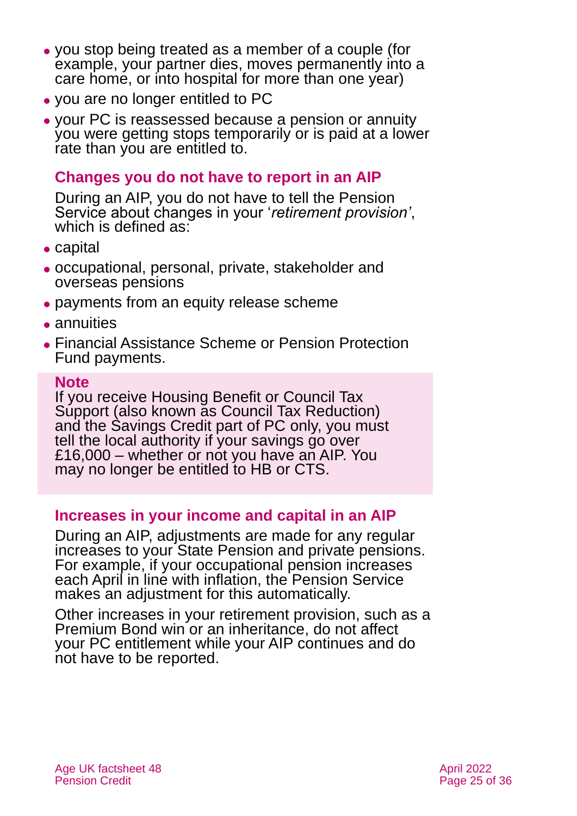- ⚫ you stop being treated as a member of a couple (for example, your partner dies, moves permanently into a care home, or into hospital for more than one year)
- ⚫ you are no longer entitled to PC
- ⚫ your PC is reassessed because a pension or annuity you were getting stops temporarily or is paid at a lower rate than you are entitled to.

#### **Changes you do not have to report in an AIP**

During an AIP, you do not have to tell the Pension Service about changes in your '*retirement provision'*, which is defined as:

- capital
- ⚫ occupational, personal, private, stakeholder and overseas pensions
- ⚫ payments from an equity release scheme
- annuities
- ⚫ Financial Assistance Scheme or Pension Protection Fund payments.

#### **Note**

If you receive Housing Benefit or Council Tax Support (also known as Council Tax Reduction) and the Savings Credit part of PC only, you must tell the local authority if your savings go over £16,000 – whether or not you have an AIP. You may no longer be entitled to HB or CTS.

#### **Increases in your income and capital in an AIP**

During an AIP, adjustments are made for any regular increases to your State Pension and private pensions. For example, if your occupational pension increases each April in line with inflation, the Pension Service makes an adjustment for this automatically.

Other increases in your retirement provision, such as a Premium Bond win or an inheritance, do not affect your PC entitlement while your AIP continues and do not have to be reported.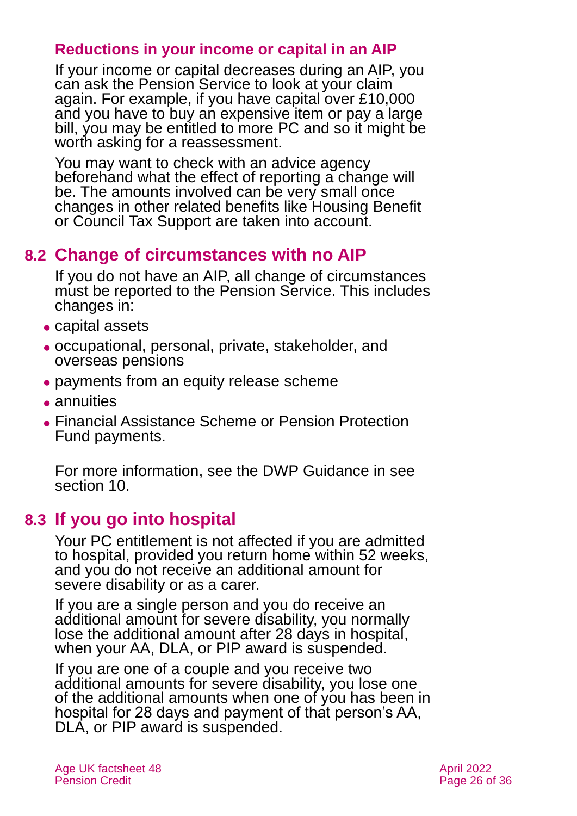#### **Reductions in your income or capital in an AIP**

If your income or capital decreases during an AIP, you can ask the Pension Service to look at your claim again. For example, if you have capital over £10,000 and you have to buy an expensive item or pay a large bill, you may be entitled to more PC and so it might be worth asking for a reassessment.

You may want to check with an advice agency beforehand what the effect of reporting a change will be. The amounts involved can be very small once changes in other related benefits like Housing Benefit or Council Tax Support are taken into account.

### **8.2 Change of circumstances with no AIP**

If you do not have an AIP, all change of circumstances must be reported to the Pension Service. This includes changes in:

- ⚫ capital assets
- ⚫ occupational, personal, private, stakeholder, and overseas pensions
- ⚫ payments from an equity release scheme
- ⚫ annuities
- ⚫ Financial Assistance Scheme or Pension Protection Fund payments.

<span id="page-25-0"></span>For more information, see the DWP Guidance in see [section 10.](#page-30-0)

### **8.3 If you go into hospital**

Your PC entitlement is not affected if you are admitted to hospital, provided you return home within 52 weeks, and you do not receive an additional amount for severe disability or as a carer.

If you are a single person and you do receive an additional amount for severe disability, you normally lose the additional amount after 28 days in hospital, when your AA, DLA, or PIP award is suspended.

If you are one of a couple and you receive two additional amounts for severe disability, you lose one of the additional amounts when one of you has been in hospital for 28 days and payment of that person's AA, DLA, or PIP award is suspended.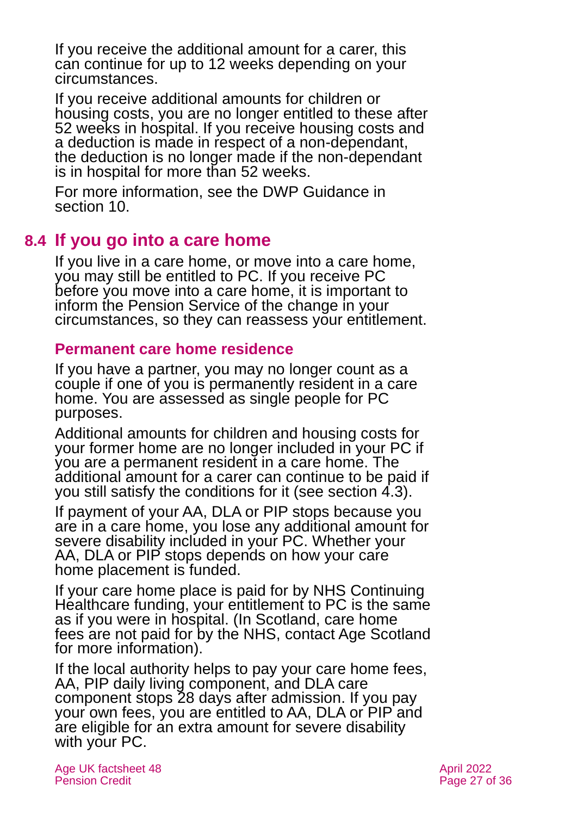If you receive the additional amount for a carer, this can continue for up to 12 weeks depending on your circumstances.

If you receive additional amounts for children or housing costs, you are no longer entitled to these after 52 weeks in hospital. If you receive housing costs and a deduction is made in respect of a non-dependant, the deduction is no longer made if the non-dependant is in hospital for more than 52 weeks.

For more information, see the DWP Guidance in [section 10.](#page-30-0)

### **8.4 If you go into a care home**

If you live in a care home, or move into a care home, you may still be entitled to PC. If you receive PC before you move into a care home, it is important to inform the Pension Service of the change in your circumstances, so they can reassess your entitlement.

#### **Permanent care home residence**

If you have a partner, you may no longer count as a couple if one of you is permanently resident in a care home. You are assessed as single people for PC purposes.

Additional amounts for children and housing costs for your former home are no longer included in your PC if you are a permanent resident in a care home. The additional amount for a carer can continue to be paid if you still satisfy the conditions for it (see [section 4.3\)](#page-8-0).

If payment of your AA, DLA or PIP stops because you are in a care home, you lose any additional amount for severe disability included in your PC. Whether your AA, DLA or PIP stops depends on how your care home placement is funded.

If your care home place is paid for by NHS Continuing Healthcare funding, your entitlement to PC is the same as if you were in hospital. (In Scotland, care home fees are not paid for by the NHS, [contact Age Scotland](#page-34-4) for more information).

If the local authority helps to pay your care home fees, AA, PIP daily living component, and DLA care component stops 28 days after admission. If you pay your own fees, you are entitled to AA, DLA or PIP and are eligible for an extra amount for severe disability with your PC.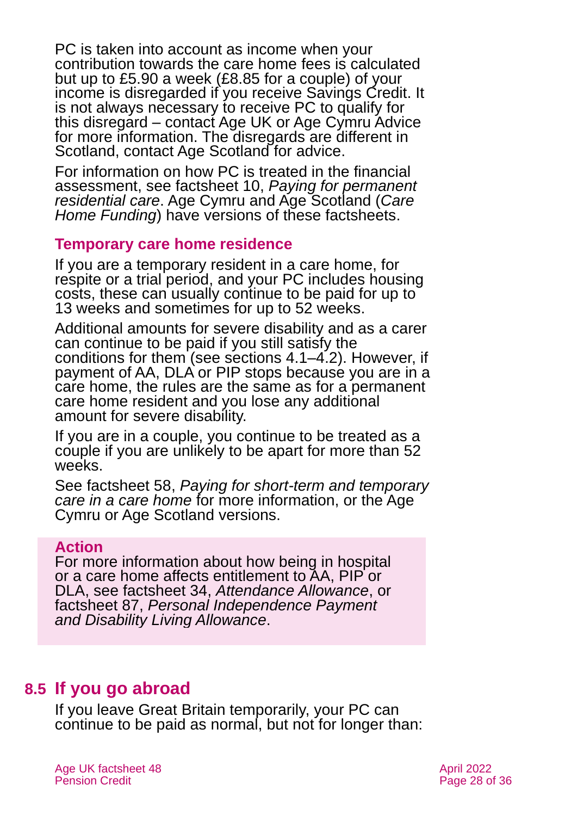PC is taken into account as income when your contribution towards the care home fees is calculated but up to £5.90 a week (£8.85 for a couple) of your income is disregarded if you receive Savings Credit. It is not always necessary to receive PC to qualify for this disregard – contact Age UK [or Age Cymru](#page-34-1) Advice for more information. The disregards are different in Scotland, [contact Age Scotland](#page-34-4) for advice.

For information on how PC is treated in the financial assessment, see factsheet 10, *[Paying for permanent](https://www.ageuk.org.uk/globalassets/age-uk/documents/factsheets/fs10_paying_for_permanent_residential_care_fcs.pdf)  [residential care](https://www.ageuk.org.uk/globalassets/age-uk/documents/factsheets/fs10_paying_for_permanent_residential_care_fcs.pdf)*. [Age Cymru](#page-34-3) and [Age Scotland](#page-34-4) (*[Care](https://www.ageuk.org.uk/scotland/information-advice/care-and-support/care-homes/)  [Home Funding](https://www.ageuk.org.uk/scotland/information-advice/care-and-support/care-homes/)*) have versions of these factsheets.

#### **Temporary care home residence**

If you are a temporary resident in a care home, for respite or a trial period, and your PC includes housing costs, these can usually continue to be paid for up to 13 weeks and sometimes for up to 52 weeks.

Additional amounts for severe disability and as a carer can continue to be paid if you still satisfy the conditions for them (see [sections 4.1–4.2\)](#page-7-0). However, if payment of AA, DLA or PIP stops because you are in a care home, the rules are the same as for a permanent care home resident and you lose any additional amount for severe disability.

If you are in a couple, you continue to be treated as a couple if you are unlikely to be apart for more than 52 weeks.

See factsheet 58, *[Paying for short-term and temporary](https://www.ageuk.org.uk/globalassets/age-uk/documents/factsheets/fs58_paying_for_short-term_and_temporary_care_in_a_care_home_fcs.pdf)  [care in a care home](https://www.ageuk.org.uk/globalassets/age-uk/documents/factsheets/fs58_paying_for_short-term_and_temporary_care_in_a_care_home_fcs.pdf)* for more information, or the [Age](#page-34-3)  [Cymru](#page-34-3) or [Age Scotland](#page-34-4) versions.

#### **Action**

For more information about how being in hospital or a care home affects entitlement to AA, PIP or DLA, see [factsheet 34,](https://www.ageuk.org.uk/globalassets/age-uk/documents/factsheets/fs34_attendance_allowance_fcs.pdf) *Attendance Allowance*, or factsheet 87, *[Personal Independence Payment](https://www.ageuk.org.uk/globalassets/age-uk/documents/factsheets/fs87_personal_independence_payment_fcs.pdf) [and Disability Living Al](https://www.ageuk.org.uk/globalassets/age-uk/documents/factsheets/fs87_personal_independence_payment_fcs.pdf)lowance*.

### **8.5 If you go abroad**

If you leave Great Britain temporarily, your PC can continue to be paid as normal, but not for longer than: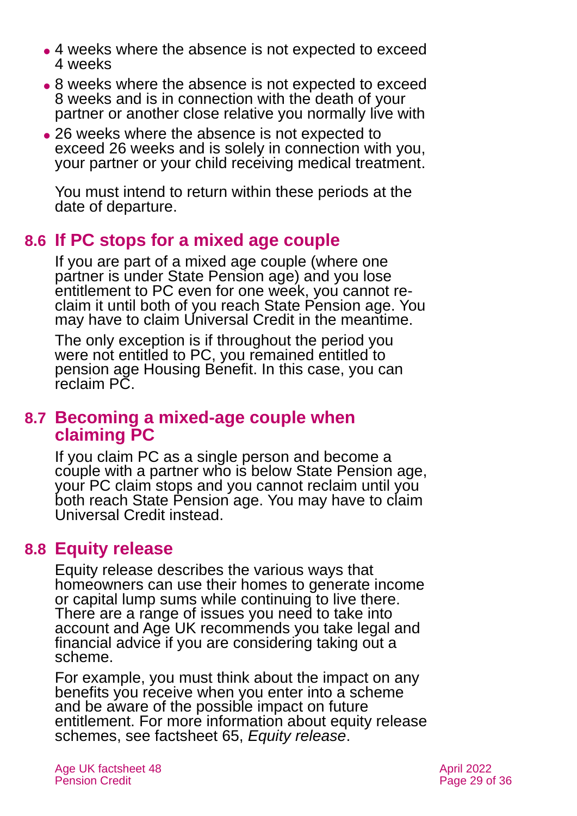- 4 weeks where the absence is not expected to exceed 4 weeks
- 8 weeks where the absence is not expected to exceed 8 weeks and is in connection with the death of your partner or another close relative you normally live with
- 26 weeks where the absence is not expected to exceed 26 weeks and is solely in connection with you, your partner or your child receiving medical treatment.

You must intend to return within these periods at the date of departure.

### **8.6 If PC stops for a mixed age couple**

If you are part of a mixed age couple (where one partner is under State Pension age) and you lose entitlement to PC even for one week, you cannot reclaim it until both of you reach State Pension age. You may have to claim Universal Credit in the meantime.

The only exception is if throughout the period you were not entitled to PC, you remained entitled to pension age Housing Benefit. In this case, you can reclaim PC.

#### **8.7 Becoming a mixed-age couple when claiming PC**

If you claim PC as a single person and become a couple with a partner who is below State Pension age, your PC claim stops and you cannot reclaim until you both reach State Pension age. You may have to claim Universal Credit instead.

### **8.8 Equity release**

Equity release describes the various ways that homeowners can use their homes to generate income or capital lump sums while continuing to live there. There are a range of issues you need to take into account and Age UK recommends you take legal and financial advice if you are considering taking out a scheme.

For example, you must think about the impact on any benefits you receive when you enter into a scheme and be aware of the possible impact on future entitlement. For more information about equity release schemes, see factsheet 65, *[Equity release](https://www.ageuk.org.uk/globalassets/age-uk/documents/factsheets/fs65_equity_release_fcs.pdf)*.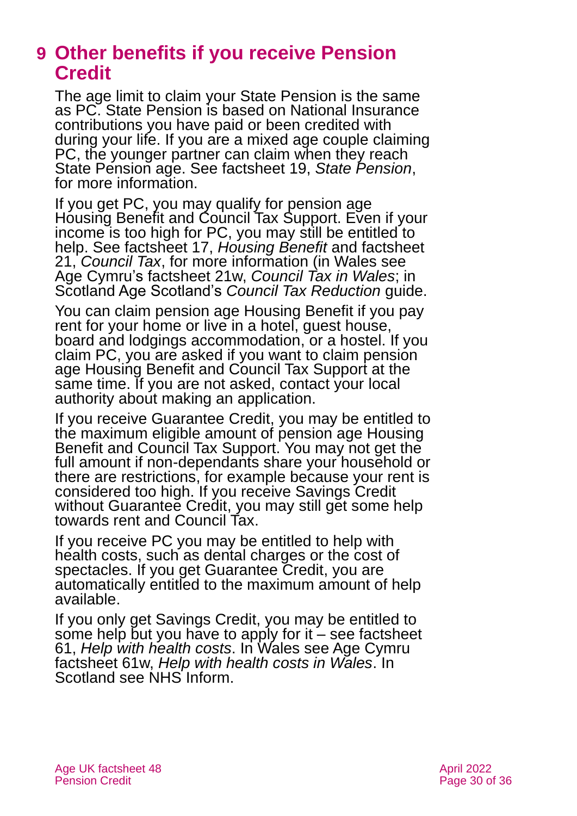# <span id="page-29-0"></span>**9 Other benefits if you receive Pension Credit**

The age limit to claim your State Pension is the same as PC. State Pension is based on National Insurance contributions you have paid or been credited with during your life. If you are a mixed age couple claiming PC, the younger partner can claim when they reach State Pension age. See factsheet 19, *[State Pension](https://www.ageuk.org.uk/globalassets/age-uk/documents/factsheets/fs19_state_pension_fcs.pdf)*, for more information.

If you get PC, you may qualify for pension age Housing Benefit and Council Tax Support. Even if your income is too high for PC, you may still be entitled to help. See factsheet 17, *[Housing Benefit](https://www.ageuk.org.uk/globalassets/age-uk/documents/factsheets/fs17_housing_benefit_fcs.pdf)* and [factsheet](https://www.ageuk.org.uk/globalassets/age-uk/documents/factsheets/fs21_council_tax_fcs.pdf)  21, *[Council Tax](https://www.ageuk.org.uk/globalassets/age-uk/documents/factsheets/fs21_council_tax_fcs.pdf)*, for more information (in Wales see Age Cymru's factsheet 21w, *[Council Tax in Wales](https://www.ageuk.org.uk/globalassets/age-cymru/documents/information-guides-and-factsheets/fs21w.pdf)*; in Scotland Age Scotland's *[Council Tax Reduction](https://www.ageuk.org.uk/scotland/information-advice/money-matters/benefits/)* guide.

You can claim pension age Housing Benefit if you pay rent for your home or live in a hotel, guest house, board and lodgings accommodation, or a hostel. If you claim PC, you are asked if you want to claim pension age Housing Benefit and Council Tax Support at the same time. If you are not asked, contact your local authority about making an application.

If you receive Guarantee Credit, you may be entitled to the maximum eligible amount of pension age Housing Benefit and Council Tax Support. You may not get the full amount if non-dependants share your household or there are restrictions, for example because your rent is considered too high. If you receive Savings Credit without Guarantee Credit, you may still get some help towards rent and Council Tax.

If you receive PC you may be entitled to help with health costs, such as dental charges or the cost of spectacles. If you get Guarantee Credit, you are automatically entitled to the maximum amount of help available.

If you only get Savings Credit, you may be entitled to some help but you have to apply for  $it$  – see factsheet 61, *[Help with health costs](https://www.ageuk.org.uk/globalassets/age-uk/documents/factsheets/fs61_help_with_health_costs_fcs.pdf)*. In Wales see Age Cymru factsheet 61w, *[Help with health costs in Wales](https://www.ageuk.org.uk/globalassets/age-cymru/documents/information-guides-and-factsheets/fs61w.pdf)*. In Scotland see [NHS Inform.](https://www.nhsinform.scot/care-support-and-rights/health-rights/access/help-with-health-costs/)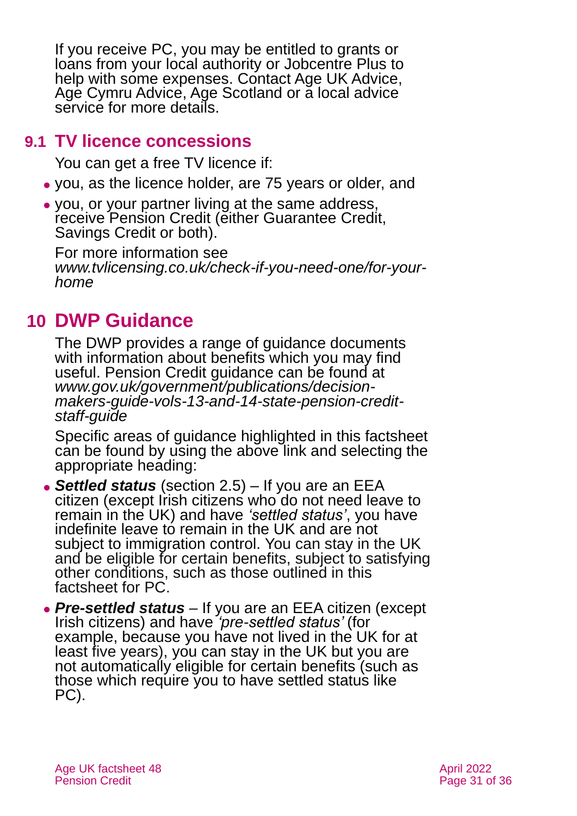If you receive PC, you may be entitled to grants or loans from your local authority or Jobcentre Plus to help with some expenses. Contact [Age UK Advice,](#page-34-1) [Age Cymru Advice, Age Scotland](#page-34-3) or a local advice service for more details.

### **9.1 TV licence concessions**

You can get a free TV licence if:

- ⚫ you, as the licence holder, are 75 years or older, and
- ⚫ you, or your partner living at the same address, receive Pension Credit (either Guarantee Credit, Savings Credit or both).

For more information see *[www.tvlicensing.co.uk/check-if-you-need-one/for-your](https://www.tvlicensing.co.uk/check-if-you-need-one/for-your-home)[home](https://www.tvlicensing.co.uk/check-if-you-need-one/for-your-home)*

# <span id="page-30-0"></span>**10 DWP Guidance**

The DWP provides a range of guidance documents with information about benefits which you may find useful. Pension Credit guidance can be found at *[www.gov.uk/government/publications/decision](http://www.gov.uk/government/publications/decision-makers-guide-vols-13-and-14-state-pension-credit-staff-guide)[makers-guide-vols-13-and-14-state-pension-credit](http://www.gov.uk/government/publications/decision-makers-guide-vols-13-and-14-state-pension-credit-staff-guide)[staff-guide](http://www.gov.uk/government/publications/decision-makers-guide-vols-13-and-14-state-pension-credit-staff-guide)*

Specific areas of guidance highlighted in this factsheet can be found by using the above link and selecting the appropriate heading:

- ⚫ *Settled status* [\(section 2.5\)](#page-5-2) If you are an EEA citizen (except Irish citizens who do not need leave to remain in the UK) and have *'settled status'*, you have indefinite leave to remain in the UK and are not subject to immigration control. You can stay in the UK and be eligible for certain benefits, subject to satisfying other conditions, such as those outlined in this factsheet for PC.
- ⚫ *Pre-settled status –* If you are an EEA citizen (except Irish citizens) and have *'pre-settled status'* (for example, because you have not lived in the UK for at least five years), you can stay in the UK but you are not automatically eligible for certain benefits (such as those which require you to have settled status like PC).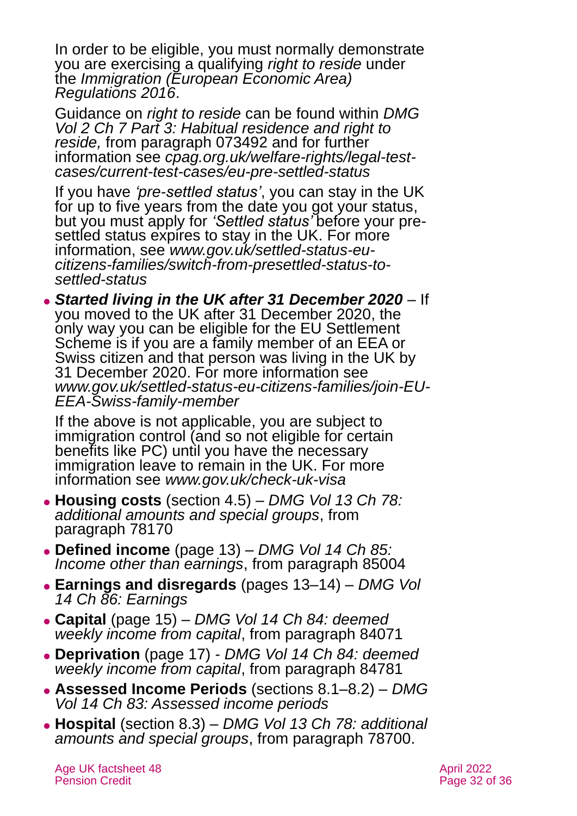In order to be eligible, you must normally demonstrate you are exercising a qualifying *right to reside* under the *[Immigration \(European Economic Area\)](https://www.legislation.gov.uk/uksi/2016/1052/made)  [Regulations 2016](https://www.legislation.gov.uk/uksi/2016/1052/made)*.

Guidance on *right to reside* can be found within *[DMG](https://assets.publishing.service.gov.uk/government/uploads/system/uploads/attachment_data/file/949265/dmg-chapter-07-part-03-habitual-residence-and-right-to-reside-is-jsa-spc-esa-072770-073779.pdf)  [Vol 2 Ch 7 Part 3: Habitual residence and right to](https://assets.publishing.service.gov.uk/government/uploads/system/uploads/attachment_data/file/949265/dmg-chapter-07-part-03-habitual-residence-and-right-to-reside-is-jsa-spc-esa-072770-073779.pdf)  [reside,](https://assets.publishing.service.gov.uk/government/uploads/system/uploads/attachment_data/file/949265/dmg-chapter-07-part-03-habitual-residence-and-right-to-reside-is-jsa-spc-esa-072770-073779.pdf)* from paragraph 073492 and for further information see *[cpag.org.uk/welfare-rights/legal-test](https://cpag.org.uk/welfare-rights/legal-test-cases/current-test-cases/eu-pre-settled-status)[cases/current-test-cases/eu-pre-settled-status](https://cpag.org.uk/welfare-rights/legal-test-cases/current-test-cases/eu-pre-settled-status)*

If you have *'pre-settled status'*, you can stay in the UK for up to five years from the date you got your status, but you must apply for *'Settled status'* before your presettled status expires to stay in the UK. For more information, see *[www.gov.uk/settled-status-eu](http://www.gov.uk/settled-status-eu-citizens-families/switch-from-presettled-status-to-settled-status)[citizens-families/switch-from-presettled-status-to](http://www.gov.uk/settled-status-eu-citizens-families/switch-from-presettled-status-to-settled-status)[settled-status](http://www.gov.uk/settled-status-eu-citizens-families/switch-from-presettled-status-to-settled-status)*

⚫ *Started living in the UK after 31 December 2020 –* If you moved to the UK after 31 December 2020, the only way you can be eligible for the EU Settlement Scheme is if you are a family member of an EEA or Swiss citizen and that person was living in the UK by 31 December 2020. For more information see *[www.gov.uk/settled-status-eu-citizens-families/join-EU-](http://www.gov.uk/settled-status-eu-citizens-families/join-EU-EEA-Swiss-family-member)[EEA-Swiss-family-member](http://www.gov.uk/settled-status-eu-citizens-families/join-EU-EEA-Swiss-family-member)*

If the above is not applicable, you are subject to immigration control (and so not eligible for certain benefits like PC) until you have the necessary immigration leave to remain in the UK. For more information see *[www.gov.uk/check-uk-visa](http://www.gov.uk/check-uk-visa)*

- ⚫ **Housing costs** [\(section 4.5\)](#page-10-0) *[DMG Vol 13 Ch 78:](https://assets.publishing.service.gov.uk/government/uploads/system/uploads/attachment_data/file/843673/dmgch78.pdf)  [additional amounts and special groups](https://assets.publishing.service.gov.uk/government/uploads/system/uploads/attachment_data/file/843673/dmgch78.pdf)*, from paragraph 78170
- ⚫ **Defined income** (page 13) *[DMG Vol 14 Ch 85:](https://assets.publishing.service.gov.uk/government/uploads/system/uploads/attachment_data/file/945910/dmgch85.pdf)  [Income other than earnings](https://assets.publishing.service.gov.uk/government/uploads/system/uploads/attachment_data/file/945910/dmgch85.pdf)*, from paragraph 85004
- ⚫ **Earnings and disregards** (pages 13–14) *[DMG Vol](https://assets.publishing.service.gov.uk/government/uploads/system/uploads/attachment_data/file/721827/dmgch86.pdf)  [14 Ch 86: Earnings](https://assets.publishing.service.gov.uk/government/uploads/system/uploads/attachment_data/file/721827/dmgch86.pdf)*
- ⚫ **Capital** (page 15) *[DMG Vol 14 Ch 84: deemed](https://assets.publishing.service.gov.uk/government/uploads/system/uploads/attachment_data/file/832032/dmgch84.pdf)  [weekly income from capital](https://assets.publishing.service.gov.uk/government/uploads/system/uploads/attachment_data/file/832032/dmgch84.pdf)*, from paragraph 84071
- ⚫ **Deprivation** (page 17) *[DMG Vol 14 Ch 84: deemed](https://assets.publishing.service.gov.uk/government/uploads/system/uploads/attachment_data/file/832032/dmgch84.pdf)  [weekly income from capital](https://assets.publishing.service.gov.uk/government/uploads/system/uploads/attachment_data/file/832032/dmgch84.pdf)*, from paragraph 84781
- ⚫ **Assessed Income Periods** [\(sections 8.1–8.2\)](#page-23-1) *[DMG](https://assets.publishing.service.gov.uk/government/uploads/system/uploads/attachment_data/file/690029/dmgch83.pdf)  [Vol 14 Ch 83: Assessed income periods](https://assets.publishing.service.gov.uk/government/uploads/system/uploads/attachment_data/file/690029/dmgch83.pdf)*
- ⚫ **Hospital** [\(section 8.3\)](#page-25-0) *[DMG Vol 13 Ch 78: additional](https://assets.publishing.service.gov.uk/government/uploads/system/uploads/attachment_data/file/843673/dmgch78.pdf)  [amounts and special groups](https://assets.publishing.service.gov.uk/government/uploads/system/uploads/attachment_data/file/843673/dmgch78.pdf)*, from paragraph 78700.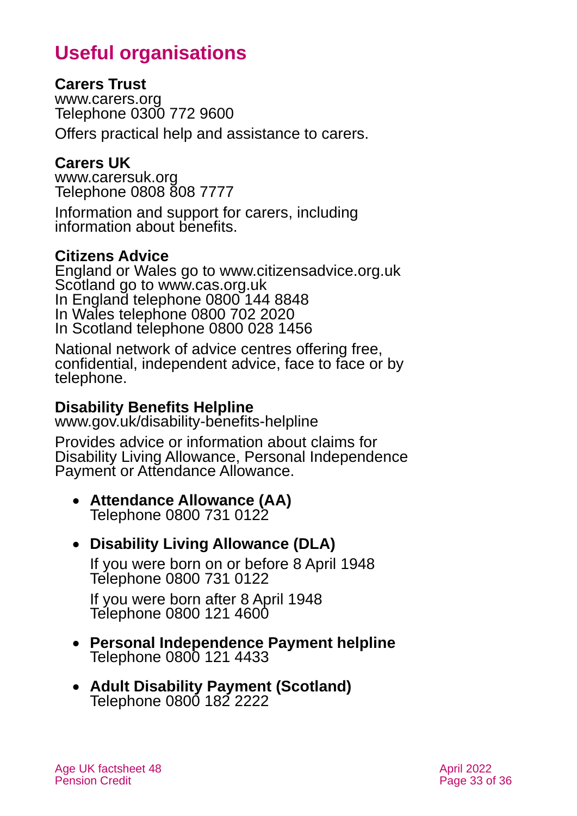# **Useful organisations**

#### <span id="page-32-0"></span>**Carers Trust**

[www.carers.org](http://www.carers.org/) Telephone 0300 772 9600

Offers practical help and assistance to carers.

#### **Carers UK**

[www.carersuk.org](http://www.carersuk.org/) Telephone 0808 808 7777

Information and support for carers, including information about benefits.

#### **Citizens Advice**

England or Wales go to [www.citizensadvice.org.uk](http://www.citizensadvice.org.uk/) Scotland go to [www.cas.org.uk](http://www.cas.org.uk/) In England telephone 0800 144 8848 In Wales telephone 0800 702 2020 In Scotland telephone 0800 028 1456

National network of advice centres offering free, confidential, independent advice, face to face or by telephone.

#### **Disability Benefits Helpline**

[www.gov.uk/disability-benefits-helpline](http://www.gov.uk/disability-benefits-helpline)

Provides advice or information about claims for Disability Living Allowance, Personal Independence Payment or Attendance Allowance.

• **Attendance Allowance (AA)** Telephone 0800 731 0122

#### • **Disability Living Allowance (DLA)**

If you were born on or before 8 April 1948 Telephone 0800 731 0122

If you were born after 8 April 1948 Telephone 0800 121 4600

- **Personal Independence Payment helpline** Telephone 0800 121 4433
- **Adult Disability Payment (Scotland)** Telephone 0800 182 2222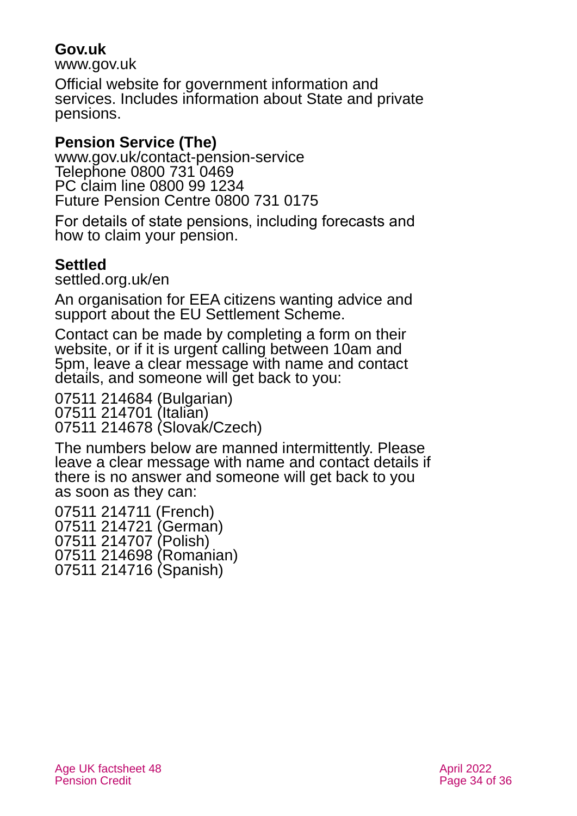#### **Gov.uk**

[www.gov.uk](http://www.gov.uk/)

Official website for government information and services. Includes information about State and private pensions.

#### **Pension Service (The)**

[www.gov.uk/contact-pension-service](http://www.gov.uk/contact-pension-service) Telephone 0800 731 0469 PC claim line 0800 99 1234 Future Pension Centre 0800 731 0175

For details of state pensions, including forecasts and how to claim your pension.

### **Settled**

[settled.org.uk/en](https://settled.org.uk/en/)

An organisation for EEA citizens wanting advice and support about the EU Settlement Scheme.

Contact can be made by completing a form on their website, or if it is urgent calling between 10am and 5pm, leave a clear message with name and contact details, and someone will get back to you:

07511 214684 (Bulgarian) 07511 214701 (Italian) 07511 214678 (Slovak/Czech)

The numbers below are manned intermittently. Please leave a clear message with name and contact details if there is no answer and someone will get back to you as soon as they can:

07511 214711 (French) 07511 214721 (German) 07511 214707 (Polish) 07511 214698 (Romanian) 07511 214716 (Spanish)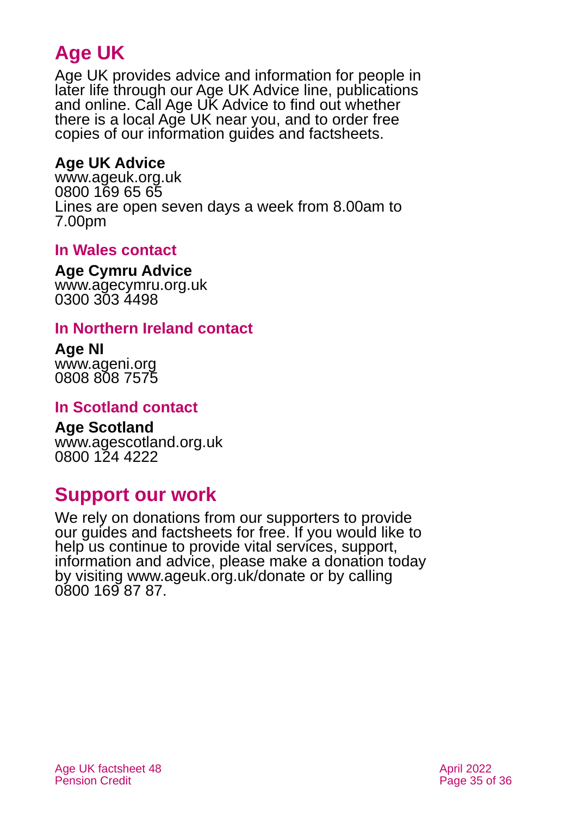# **Age UK**

Age UK provides advice and information for people in later life through our Age UK Advice line, publications and online. Call Age UK Advice to find out whether there is a local Age UK near you, and to order free copies of our information guides and factsheets.

#### <span id="page-34-1"></span>**Age UK Advice**

[www.ageuk.org.uk](http://www.ageuk.org.uk/) 0800 169 65 65 Lines are open seven days a week from 8.00am to 7.00pm

#### <span id="page-34-3"></span>**In Wales contact**

#### **Age Cymru Advice**

[www.agecymru.org.uk](http://www.agecymru.org.uk/) 0300 303 4498

#### <span id="page-34-0"></span>**In Northern Ireland contact**

#### **Age NI** [www.ageni.org](http://www.ageni.org/)

0808 808 7575

#### <span id="page-34-4"></span>**In Scotland contact**

# <span id="page-34-2"></span>**Age Scotland**

[www.agescotland.org.uk](http://www.agescotland.org.uk/) 0800 124 4222

# **Support our work**

We rely on donations from our supporters to provide our guides and factsheets for free. If you would like to help us continue to provide vital services, support, information and advice, please make a donation today by visiting [www.ageuk.org.uk/donate](http://www.ageuk.org.uk/donate) or by calling 0800 169 87 87.